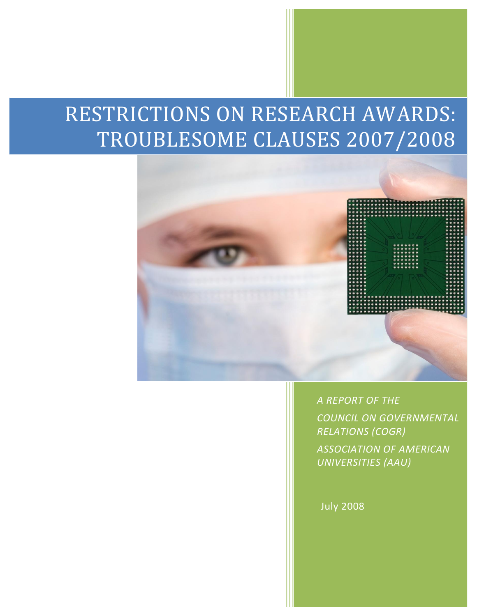# RESTRICTIONS ON RESEARCH AWARDS: TROUBLESOME CLAUSES 2007/2008



*A REPORT OF THE* 

*COUNCIL ON GOVERNMENTAL RELATIONS (COGR) ASSOCIATION OF AMERICAN UNIVERSITIES (AAU)*

July 2008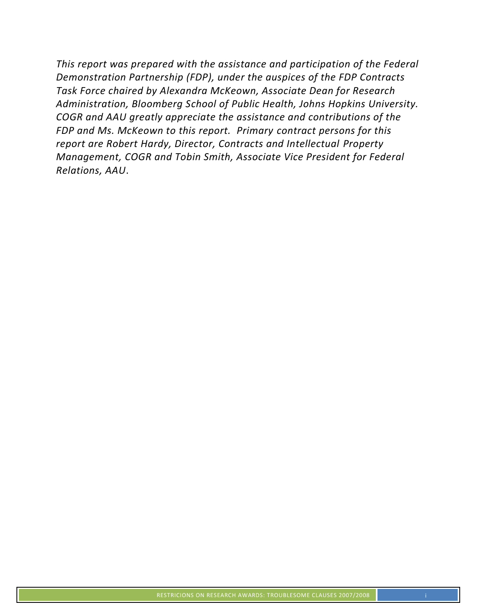*This report was prepared with the assistance and participation of the Federal Demonstration Partnership (FDP), under the auspices of the FDP Contracts Task Force chaired by Alexandra McKeown, Associate Dean for Research Administration, Bloomberg School of Public Health, Johns Hopkins University. COGR and AAU greatly appreciate the assistance and contributions of the FDP and Ms. McKeown to this report. Primary contract persons for this report are Robert Hardy, Director, Contracts and Intellectual Property Management, COGR and Tobin Smith, Associate Vice President for Federal Relations, AAU*.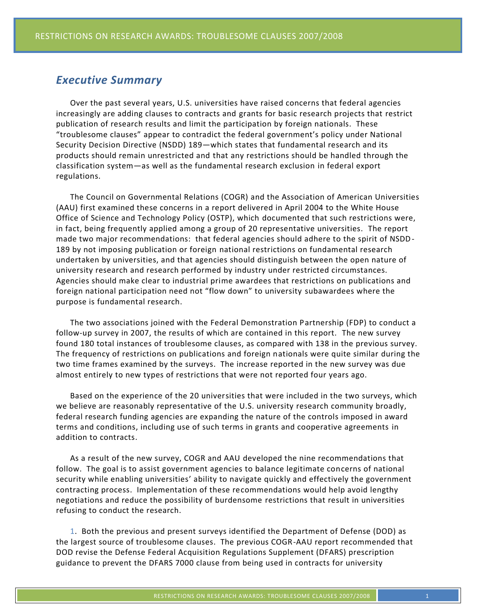## *Executive Summary*

Over the past several years, U.S. universities have raised concerns that federal agencies increasingly are adding clauses to contracts and grants for basic research projects that restrict publication of research results and limit the participation by foreign nationals. These "troublesome clauses" appear to contradict the federal government's policy under National Security Decision Directive (NSDD) 189—which states that fundamental research and its products should remain unrestricted and that any restrictions should be handled through the classification system—as well as the fundamental research exclusion in federal export regulations.

The Council on Governmental Relations (COGR) and the Association of American Universities (AAU) first examined these concerns in a report delivered in April 2004 to the White House Office of Science and Technology Policy (OSTP), which documented that such restrictions were, in fact, being frequently applied among a group of 20 representative universities. The report made two major recommendations: that federal agencies should adhere to the spirit of NSDD-189 by not imposing publication or foreign national restrictions on fundamental research undertaken by universities, and that agencies should distinguish between the open nature of university research and research performed by industry under restricted circumstances. Agencies should make clear to industrial prime awardees that restrictions on publications and foreign national participation need not "flow down" to university subawardees where the purpose is fundamental research.

The two associations joined with the Federal Demonstration Partnership (FDP) to conduct a follow-up survey in 2007, the results of which are contained in this report. The new survey found 180 total instances of troublesome clauses, as compared with 138 in the previous survey. The frequency of restrictions on publications and foreign nationals were quite similar during the two time frames examined by the surveys. The increase reported in the new survey was due almost entirely to new types of restrictions that were not reported four years ago.

Based on the experience of the 20 universities that were included in the two surveys, which we believe are reasonably representative of the U.S. university research community broadly, federal research funding agencies are expanding the nature of the controls imposed in award terms and conditions, including use of such terms in grants and cooperative agreements in addition to contracts.

As a result of the new survey, COGR and AAU developed the nine recommendations that follow. The goal is to assist government agencies to balance legitimate concerns of national security while enabling universities' ability to navigate quickly and effectively the government contracting process. Implementation of these recommendations would help avoid lengthy negotiations and reduce the possibility of burdensome restrictions that result in universities refusing to conduct the research.

1. Both the previous and present surveys identified the Department of Defense (DOD) as the largest source of troublesome clauses. The previous COGR-AAU report recommended that DOD revise the Defense Federal Acquisition Regulations Supplement (DFARS) prescription guidance to prevent the DFARS 7000 clause from being used in contracts for university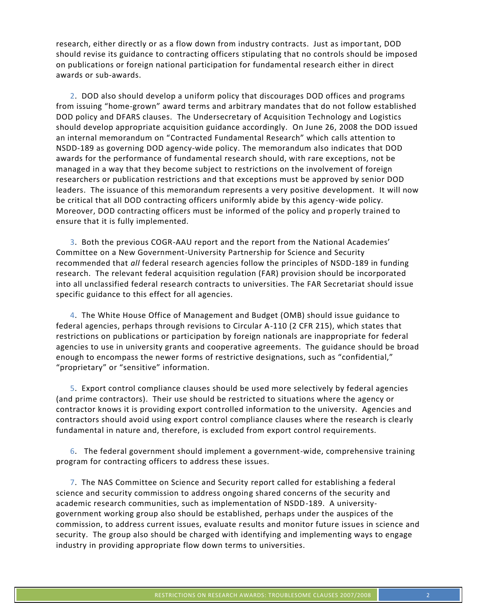research, either directly or as a flow down from industry contracts. Just as important, DOD should revise its guidance to contracting officers stipulating that no controls should be imposed on publications or foreign national participation for fundamental research either in direct awards or sub-awards.

2. DOD also should develop a uniform policy that discourages DOD offices and programs from issuing "home-grown" award terms and arbitrary mandates that do not follow established DOD policy and DFARS clauses. The Undersecretary of Acquisition Technology and Logistics should develop appropriate acquisition guidance accordingly. On June 26, 2008 the DOD issued an internal memorandum on "Contracted Fundamental Research" which calls attention to NSDD-189 as governing DOD agency-wide policy. The memorandum also indicates that DOD awards for the performance of fundamental research should, with rare exceptions, not be managed in a way that they become subject to restrictions on the involvement of foreign researchers or publication restrictions and that exceptions must be approved by senior DOD leaders. The issuance of this memorandum represents a very positive development. It will now be critical that all DOD contracting officers uniformly abide by this agency-wide policy. Moreover, DOD contracting officers must be informed of the policy and properly trained to ensure that it is fully implemented.

3. Both the previous COGR-AAU report and the report from the National Academies' Committee on a New Government-University Partnership for Science and Security recommended that *all* federal research agencies follow the principles of NSDD-189 in funding research. The relevant federal acquisition regulation (FAR) provision should be incorporated into all unclassified federal research contracts to universities. The FAR Secretariat should issue specific guidance to this effect for all agencies.

4. The White House Office of Management and Budget (OMB) should issue guidance to federal agencies, perhaps through revisions to Circular A-110 (2 CFR 215), which states that restrictions on publications or participation by foreign nationals are inappropriate for federal agencies to use in university grants and cooperative agreements. The guidance should be broad enough to encompass the newer forms of restrictive designations, such as "confidential," "proprietary" or "sensitive" information.

5. Export control compliance clauses should be used more selectively by federal agencies (and prime contractors). Their use should be restricted to situations where the agency or contractor knows it is providing export controlled information to the university. Agencies and contractors should avoid using export control compliance clauses where the research is clearly fundamental in nature and, therefore, is excluded from export control requirements.

6. The federal government should implement a government-wide, comprehensive training program for contracting officers to address these issues.

7. The NAS Committee on Science and Security report called for establishing a federal science and security commission to address ongoing shared concerns of the security and academic research communities, such as implementation of NSDD-189. A universitygovernment working group also should be established, perhaps under the auspices of the commission, to address current issues, evaluate results and monitor future issues in science and security. The group also should be charged with identifying and implementing ways to engage industry in providing appropriate flow down terms to universities.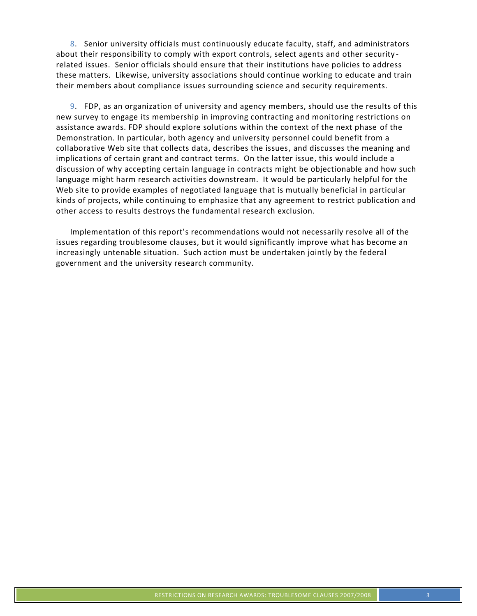8. Senior university officials must continuously educate faculty, staff, and administrators about their responsibility to comply with export controls, select agents and other security related issues. Senior officials should ensure that their institutions have policies to address these matters. Likewise, university associations should continue working to educate and train their members about compliance issues surrounding science and security requirements.

9. FDP, as an organization of university and agency members, should use the results of this new survey to engage its membership in improving contracting and monitoring restrictions on assistance awards. FDP should explore solutions within the context of the next phase of the Demonstration. In particular, both agency and university personnel could benefit from a collaborative Web site that collects data, describes the issues, and discusses the meaning and implications of certain grant and contract terms. On the latter issue, this would include a discussion of why accepting certain language in contracts might be objectionable and how such language might harm research activities downstream. It would be particularly helpful for the Web site to provide examples of negotiated language that is mutually beneficial in particular kinds of projects, while continuing to emphasize that any agreement to restrict publication and other access to results destroys the fundamental research exclusion.

Implementation of this report's recommendations would not necessarily resolve all of the issues regarding troublesome clauses, but it would significantly improve what has become an increasingly untenable situation. Such action must be undertaken jointly by the federal government and the university research community.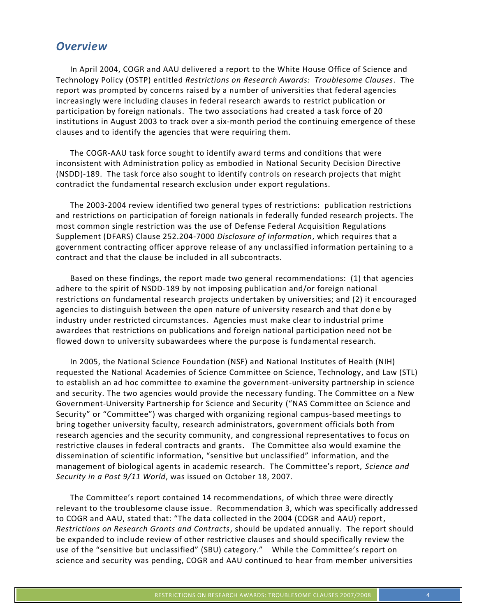## *Overview*

In April 2004, COGR and AAU delivered a report to the White House Office of Science and Technology Policy (OSTP) entitled *Restrictions on Research Awards: Troublesome Clauses*. The report was prompted by concerns raised by a number of universities that federal agencies increasingly were including clauses in federal research awards to restrict publication or participation by foreign nationals. The two associations had created a task force of 20 institutions in August 2003 to track over a six-month period the continuing emergence of these clauses and to identify the agencies that were requiring them.

The COGR-AAU task force sought to identify award terms and conditions that were inconsistent with Administration policy as embodied in National Security Decision Directive (NSDD)-189. The task force also sought to identify controls on research projects that might contradict the fundamental research exclusion under export regulations.

The 2003-2004 review identified two general types of restrictions: publication restrictions and restrictions on participation of foreign nationals in federally funded research projects. The most common single restriction was the use of Defense Federal Acquisition Regulations Supplement (DFARS) Clause 252.204-7000 *Disclosure of Information*, which requires that a government contracting officer approve release of any unclassified information pertaining to a contract and that the clause be included in all subcontracts.

Based on these findings, the report made two general recommendations: (1) that agencies adhere to the spirit of NSDD-189 by not imposing publication and/or foreign national restrictions on fundamental research projects undertaken by universities; and (2) it encouraged agencies to distinguish between the open nature of university research and that done by industry under restricted circumstances. Agencies must make clear to industrial prime awardees that restrictions on publications and foreign national participation need not be flowed down to university subawardees where the purpose is fundamental research.

In 2005, the National Science Foundation (NSF) and National Institutes of Health (NIH) requested the National Academies of Science Committee on Science, Technology, and Law (STL) to establish an ad hoc committee to examine the government-university partnership in science and security. The two agencies would provide the necessary funding. The Committee on a New Government-University Partnership for Science and Security ("NAS Committee on Science and Security" or "Committee") was charged with organizing regional campus-based meetings to bring together university faculty, research administrators, government officials both from research agencies and the security community, and congressional representatives to focus on restrictive clauses in federal contracts and grants. The Committee also would examine the dissemination of scientific information, "sensitive but unclassified" information, and the management of biological agents in academic research. The Committee's report, *Science and Security in a Post 9/11 World*, was issued on October 18, 2007.

The Committee's report contained 14 recommendations, of which three were directly relevant to the troublesome clause issue. Recommendation 3, which was specifically addressed to COGR and AAU, stated that: "The data collected in the 2004 (COGR and AAU) report, *Restrictions on Research Grants and Contracts*, should be updated annually. The report should be expanded to include review of other restrictive clauses and should specifically review the use of the "sensitive but unclassified" (SBU) category." While the Committee's report on science and security was pending, COGR and AAU continued to hear from member universities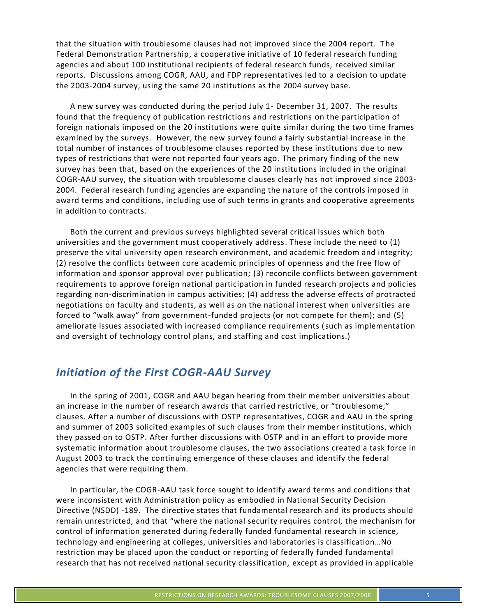that the situation with troublesome clauses had not improved since the 2004 report. The Federal Demonstration Partnership, a cooperative initiative of 10 federal research funding agencies and about 100 institutional recipients of federal research funds, received similar reports. Discussions among COGR, AAU, and FDP representatives led to a decision to update the 2003-2004 survey, using the same 20 institutions as the 2004 survey base.

A new survey was conducted during the period July 1- December 31, 2007. The results found that the frequency of publication restrictions and restrictions on the participation of foreign nationals imposed on the 20 institutions were quite similar during the two time frames examined by the surveys. However, the new survey found a fairly substantial increase in the total number of instances of troublesome clauses reported by these institutions due to new types of restrictions that were not reported four years ago. The primary finding of the new survey has been that, based on the experiences of the 20 institutions included in the original COGR-AAU survey, the situation with troublesome clauses clearly has not improved since 2003- 2004. Federal research funding agencies are expanding the nature of the controls imposed in award terms and conditions, including use of such terms in grants and cooperative agreements in addition to contracts.

Both the current and previous surveys highlighted several critical issues which both universities and the government must cooperatively address. These include the need to (1) preserve the vital university open research environment, and academic freedom and integrity; (2) resolve the conflicts between core academic principles of openness and the free flow of information and sponsor approval over publication; (3) reconcile conflicts between government requirements to approve foreign national participation in funded research projects and policies regarding non-discrimination in campus activities; (4) address the adverse effects of protracted negotiations on faculty and students, as well as on the national interest when universities are forced to "walk away" from government-funded projects (or not compete for them); and (5) ameliorate issues associated with increased compliance requirements (such as implementation and oversight of technology control plans, and staffing and cost implications.)

## *Initiation of the First COGR-AAU Survey*

In the spring of 2001, COGR and AAU began hearing from their member universities about an increase in the number of research awards that carried restrictive, or "troublesome," clauses. After a number of discussions with OSTP representatives, COGR and AAU in the spring and summer of 2003 solicited examples of such clauses from their member institutions, which they passed on to OSTP. After further discussions with OSTP and in an effort to provide more systematic information about troublesome clauses, the two associations created a task force in August 2003 to track the continuing emergence of these clauses and identify the federal agencies that were requiring them.

In particular, the COGR-AAU task force sought to identify award terms and conditions that were inconsistent with Administration policy as embodied in National Security Decision Directive (NSDD) -189. The directive states that fundamental research and its products should remain unrestricted, and that "where the national security requires control, the mechanism for control of information generated during federally funded fundamental research in science, technology and engineering at colleges, universities and laboratories is classification…No restriction may be placed upon the conduct or reporting of federally funded fundamental research that has not received national security classification, except as provided in applicable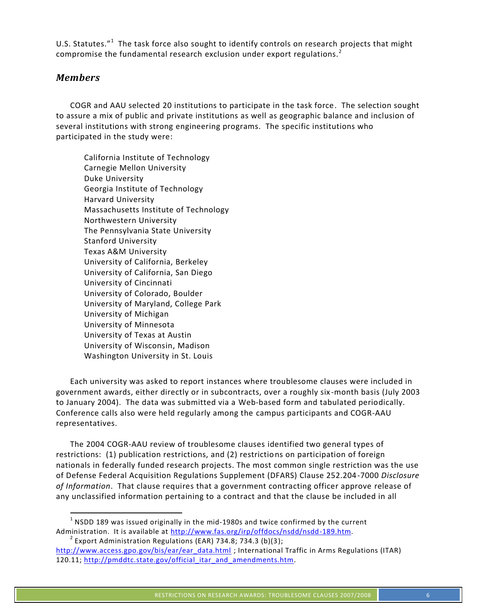U.S. Statutes."<sup>1</sup> The task force also sought to identify controls on research projects that might compromise the fundamental research exclusion under export regulations.<sup>2</sup>

## *Members*

COGR and AAU selected 20 institutions to participate in the task force. The selection sought to assure a mix of public and private institutions as well as geographic balance and inclusion of several institutions with strong engineering programs. The specific institutions who participated in the study were:

California Institute of Technology Carnegie Mellon University Duke University Georgia Institute of Technology Harvard University Massachusetts Institute of Technology Northwestern University The Pennsylvania State University Stanford University Texas A&M University University of California, Berkeley University of California, San Diego University of Cincinnati University of Colorado, Boulder University of Maryland, College Park University of Michigan University of Minnesota University of Texas at Austin University of Wisconsin, Madison Washington University in St. Louis

Each university was asked to report instances where troublesome clauses were included in government awards, either directly or in subcontracts, over a roughly six -month basis (July 2003 to January 2004). The data was submitted via a Web-based form and tabulated periodically. Conference calls also were held regularly among the campus participants and COGR-AAU representatives.

The 2004 COGR-AAU review of troublesome clauses identified two general types of restrictions: (1) publication restrictions, and (2) restrictions on participation of foreign nationals in federally funded research projects. The most common single restriction was the use of Defense Federal Acquisition Regulations Supplement (DFARS) Clause 252.204-7000 *Disclosure of Information*. That clause requires that a government contracting officer approve release of any unclassified information pertaining to a contract and that the clause be included in all

 $1$  NSDD 189 was issued originally in the mid-1980s and twice confirmed by the current Administration. It is available at http://www.fas.org/irp/offdocs/nsdd/nsdd-189.htm.<br><sup>2</sup> Export Administration Regulations (EAR) 734.8; 734.3 (b)(3);

http://www.access.gpo.gov/bis/ear/ear\_data.html ; International Traffic in Arms Regulations (ITAR) 120.11; http://pmddtc.state.gov/official\_itar\_and\_amendments.htm.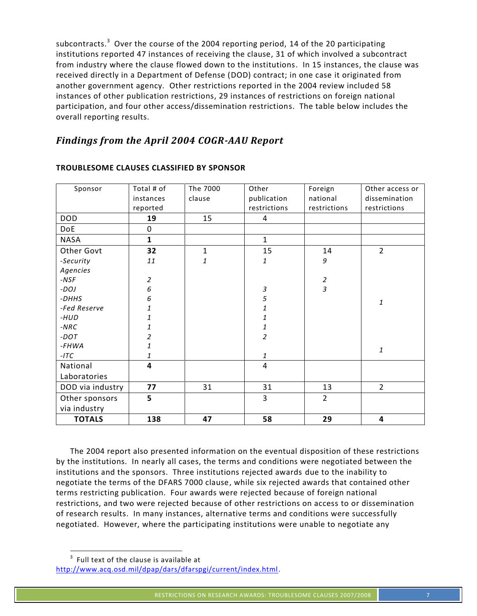subcontracts.<sup>3</sup> Over the course of the 2004 reporting period, 14 of the 20 participating institutions reported 47 instances of receiving the clause, 31 of which involved a subcontract from industry where the clause flowed down to the institutions. In 15 instances, the clause was received directly in a Department of Defense (DOD) contract; in one case it originated from another government agency. Other restrictions reported in the 2004 review included 58 instances of other publication restrictions, 29 instances of restrictions on foreign national participation, and four other access/dissemination restrictions. The table below includes the overall reporting results.

## *Findings from the April 2004 COGR-AAU Report*

| Sponsor          | Total # of     | The 7000           | Other          | Foreign          | Other access or |
|------------------|----------------|--------------------|----------------|------------------|-----------------|
|                  | instances      | clause             | publication    | national         | dissemination   |
|                  | reported       |                    | restrictions   | restrictions     | restrictions    |
| <b>DOD</b>       | 19             | 15                 | 4              |                  |                 |
| DoE              | $\mathbf 0$    |                    |                |                  |                 |
| <b>NASA</b>      | $\mathbf{1}$   |                    | $\mathbf{1}$   |                  |                 |
| Other Govt       | 32             | $\mathbf{1}$       | 15             | 14               | $\overline{2}$  |
| -Security        | 11             | $\mathbf{1}% _{T}$ | 1              | 9                |                 |
| Agencies         |                |                    |                |                  |                 |
| $-NSF$           | $\overline{a}$ |                    |                | $\boldsymbol{2}$ |                 |
| $-DOJ$           | 6              |                    | $\mathfrak{Z}$ | 3                |                 |
| -DHHS            | 6              |                    | 5              |                  | 1               |
| -Fed Reserve     | 1              |                    | $\mathbf{1}$   |                  |                 |
| -HUD             | 1              |                    | 1              |                  |                 |
| $-NRC$           | 1              |                    | 1              |                  |                 |
| -DOT             | 2              |                    | $\overline{a}$ |                  |                 |
| $-FHWA$          | 1              |                    |                |                  | $\it 1$         |
| $-ITC$           | 1              |                    | 1              |                  |                 |
| National         | 4              |                    | $\overline{4}$ |                  |                 |
| Laboratories     |                |                    |                |                  |                 |
| DOD via industry | 77             | 31                 | 31             | 13               | $\overline{2}$  |
| Other sponsors   | 5              |                    | 3              | $\overline{2}$   |                 |
| via industry     |                |                    |                |                  |                 |
| <b>TOTALS</b>    | 138            | 47                 | 58             | 29               | 4               |

#### **TROUBLESOME CLAUSES CLASSIFIED BY SPONSOR**

The 2004 report also presented information on the eventual disposition of these restrictions by the institutions. In nearly all cases, the terms and conditions were negotiated between the institutions and the sponsors. Three institutions rejected awards due to the inability to negotiate the terms of the DFARS 7000 clause, while six rejected awards that contained other terms restricting publication. Four awards were rejected because of foreign national restrictions, and two were rejected because of other restrictions on access to or dissemination of research results. In many instances, alternative terms and conditions were successfully negotiated. However, where the participating institutions were unable to negotiate any

<sup>-&</sup>lt;br>3  $3$  Full text of the clause is available at

http://www.acq.osd.mil/dpap/dars/dfarspgi/current/index.html.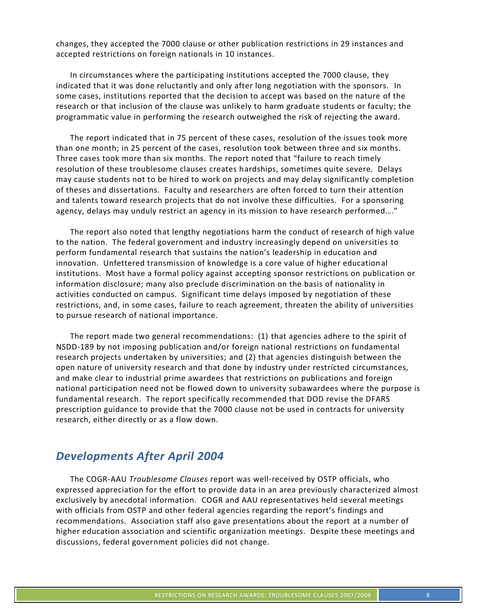changes, they accepted the 7000 clause or other publication restrictions in 29 instances and accepted restrictions on foreign nationals in 10 instances.

In circumstances where the participating institutions accepted the 7000 clause, they indicated that it was done reluctantly and only after long negotiation with the sponsors. In some cases, institutions reported that the decision to accept was based on the nature of the research or that inclusion of the clause was unlikely to harm graduate students or faculty; the programmatic value in performing the research outweighed the risk of rejecting the award.

The report indicated that in 75 percent of these cases, resolution of the issues took more than one month; in 25 percent of the cases, resolution took between three and six months. Three cases took more than six months. The report noted that "failure to reach timely resolution of these troublesome clauses creates hardships, sometimes quite severe. Delays may cause students not to be hired to work on projects and may delay significantly completion of theses and dissertations. Faculty and researchers are often forced to turn their attention and talents toward research projects that do not involve these difficulties. For a sponsoring agency, delays may unduly restrict an agency in its mission to have research performed…."

The report also noted that lengthy negotiations harm the conduct of research of high value to the nation. The federal government and industry increasingly depend on universities to perform fundamental research that sustains the nation's leadership in education and innovation. Unfettered transmission of knowledge is a core value of higher educational institutions. Most have a formal policy against accepting sponsor restrictions on publication or information disclosure; many also preclude discrimination on the basis of nationality in activities conducted on campus. Significant time delays imposed by negotiation of these restrictions, and, in some cases, failure to reach agreement, threaten the ability of universities to pursue research of national importance.

The report made two general recommendations: (1) that agencies adhere to the spirit of NSDD-189 by not imposing publication and/or foreign national restrictions on fundamental research projects undertaken by universities; and (2) that agencies distinguish between the open nature of university research and that done by industry under restricted circumstances, and make clear to industrial prime awardees that restrictions on publications and foreign national participation need not be flowed down to university subawardees where the purpose is fundamental research. The report specifically recommended that DOD revise the DFARS prescription guidance to provide that the 7000 clause not be used in contracts for university research, either directly or as a flow down.

## *Developments After April 2004*

The COGR-AAU *Troublesome Clauses* report was well-received by OSTP officials, who expressed appreciation for the effort to provide data in an area previously characterized almost exclusively by anecdotal information. COGR and AAU representatives held several meetings with officials from OSTP and other federal agencies regarding the report's findings and recommendations. Association staff also gave presentations about the report at a number of higher education association and scientific organization meetings. Despite these meetings and discussions, federal government policies did not change.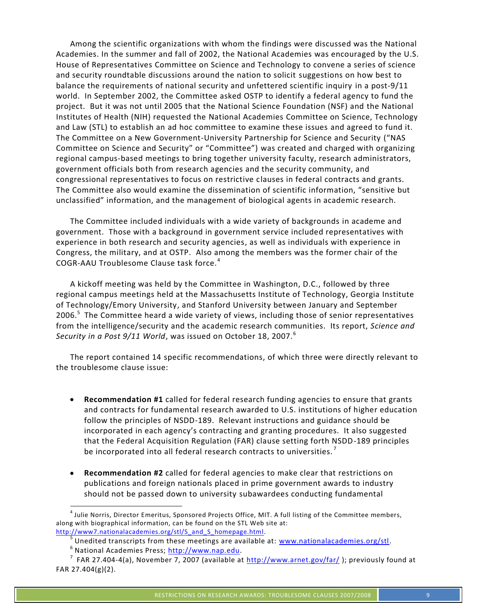Among the scientific organizations with whom the findings were discussed was the National Academies. In the summer and fall of 2002, the National Academies was encouraged by the U.S. House of Representatives Committee on Science and Technology to convene a series of science and security roundtable discussions around the nation to solicit suggestions on how best to balance the requirements of national security and unfettered scientific inquiry in a post-9/11 world. In September 2002, the Committee asked OSTP to identify a federal agency to fund the project. But it was not until 2005 that the National Science Foundation (NSF) and the National Institutes of Health (NIH) requested the National Academies Committee on Science, Technology and Law (STL) to establish an ad hoc committee to examine these issues and agreed to fund it. The Committee on a New Government-University Partnership for Science and Security ("NAS Committee on Science and Security" or "Committee") was created and charged with organizing regional campus-based meetings to bring together university faculty, research administrators, government officials both from research agencies and the security community, and congressional representatives to focus on restrictive clauses in federal contracts and grants. The Committee also would examine the dissemination of scientific information, "sensitive but unclassified" information, and the management of biological agents in academic research.

The Committee included individuals with a wide variety of backgrounds in academe and government. Those with a background in government service included representatives with experience in both research and security agencies, as well as individuals with experience in Congress, the military, and at OSTP. Also among the members was the former chair of the COGR-AAU Troublesome Clause task force.<sup>4</sup>

A kickoff meeting was held by the Committee in Washington, D.C., followed by three regional campus meetings held at the Massachusetts Institute of Technology, Georgia Institute of Technology/Emory University, and Stanford University between January and September 2006. $5$  The Committee heard a wide variety of views, including those of senior representatives from the intelligence/security and the academic research communities. Its report, *Science and Security in a Post 9/11 World*, was issued on October 18, 2007.<sup>6</sup>

The report contained 14 specific recommendations, of which three were directly relevant to the troublesome clause issue:

- **Recommendation #1** called for federal research funding agencies to ensure that grants and contracts for fundamental research awarded to U.S. institutions of higher education follow the principles of NSDD-189. Relevant instructions and guidance should be incorporated in each agency's contracting and granting procedures. It also suggested that the Federal Acquisition Regulation (FAR) clause setting forth NSDD-189 principles be incorporated into all federal research contracts to universities.<sup>7</sup>
- **Recommendation #2** called for federal agencies to make clear that restrictions on publications and foreign nationals placed in prime government awards to industry should not be passed down to university subawardees conducting fundamental

 $^4$  Julie Norris, Director Emeritus, Sponsored Projects Office, MIT. A full listing of the Committee members, along with biographical information, can be found on the STL Web site at:

http://www7.nationalacademies.org/stl/S\_and\_S\_homepage.html.<br><sup>5</sup> Unedited transcripts from these meetings are available at: www.nationalacademies.org/stl. 6 National Academies Press; http://www.nap.edu.

 $^7$  FAR 27.404-4(a), November 7, 2007 (available at  $\frac{\text{http://www.arnet.gov/far/}}{\text{http://www.arnet.gov/far/}}$  ; previously found at FAR 27.404(g)(2).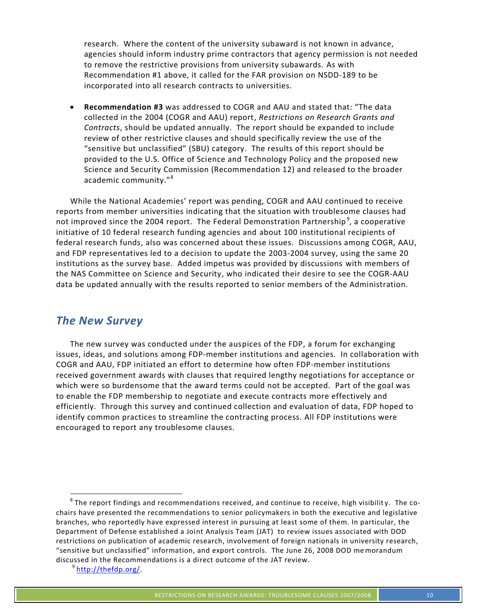research. Where the content of the university subaward is not known in advance, agencies should inform industry prime contractors that agency permission is not needed to remove the restrictive provisions from university subawards. As with Recommendation #1 above, it called for the FAR provision on NSDD-189 to be incorporated into all research contracts to universities.

**Recommendation #3** was addressed to COGR and AAU and stated that: "The data collected in the 2004 (COGR and AAU) report, *Restrictions on Research Grants and Contracts*, should be updated annually. The report should be expanded to include review of other restrictive clauses and should specifically review the use of the "sensitive but unclassified" (SBU) category. The results of this report should be provided to the U.S. Office of Science and Technology Policy and the proposed new Science and Security Commission (Recommendation 12) and released to the broader academic community."<sup>8</sup>

While the National Academies' report was pending, COGR and AAU continued to receive reports from member universities indicating that the situation with troublesome clauses had not improved since the 2004 report. The Federal Demonstration Partnership<sup>9</sup>, a cooperative initiative of 10 federal research funding agencies and about 100 institutional recipients of federal research funds, also was concerned about these issues. Discussions among COGR, AAU, and FDP representatives led to a decision to update the 2003-2004 survey, using the same 20 institutions as the survey base. Added impetus was provided by discussions with members of the NAS Committee on Science and Security, who indicated their desire to see the COGR-AAU data be updated annually with the results reported to senior members of the Administration.

## *The New Survey*

The new survey was conducted under the auspices of the FDP, a forum for exchanging issues, ideas, and solutions among FDP-member institutions and agencies. In collaboration with COGR and AAU, FDP initiated an effort to determine how often FDP-member institutions received government awards with clauses that required lengthy negotiations for acceptance or which were so burdensome that the award terms could not be accepted. Part of the goal was to enable the FDP membership to negotiate and execute contracts more effectively and efficiently. Through this survey and continued collection and evaluation of data, FDP hoped to identify common practices to streamline the contracting process. All FDP institutions were encouraged to report any troublesome clauses.

 $8$  The report findings and recommendations received, and continue to receive, high visibility. The cochairs have presented the recommendations to senior policymakers in both the executive and legislative branches, who reportedly have expressed interest in pursuing at least some of them. In particular, the Department of Defense established a Joint Analysis Team (JAT) to review issues associated with DOD restrictions on publication of academic research, involvement of foreign nationals in university research, "sensitive but unclassified" information, and export controls. The June 26, 2008 DOD memorandum discussed in the Recommendations is a direct outcome of the JAT review.<br><sup>9</sup> http://thefdp.org/.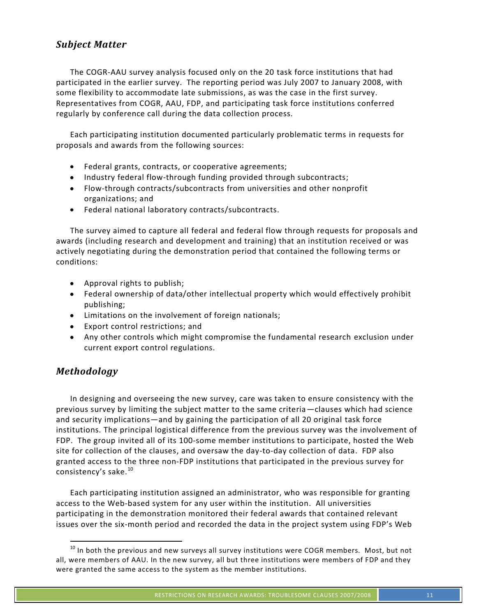## *Subject Matter*

The COGR-AAU survey analysis focused only on the 20 task force institutions that had participated in the earlier survey. The reporting period was July 2007 to January 2008, with some flexibility to accommodate late submissions, as was the case in the first survey. Representatives from COGR, AAU, FDP, and participating task force institutions conferred regularly by conference call during the data collection process.

Each participating institution documented particularly problematic terms in requests for proposals and awards from the following sources:

- Federal grants, contracts, or cooperative agreements;
- Industry federal flow-through funding provided through subcontracts;
- Flow-through contracts/subcontracts from universities and other nonprofit organizations; and
- Federal national laboratory contracts/subcontracts.

The survey aimed to capture all federal and federal flow through requests for proposals and awards (including research and development and training) that an institution received or was actively negotiating during the demonstration period that contained the following terms or conditions:

- Approval rights to publish;
- Federal ownership of data/other intellectual property which would effectively prohibit publishing;
- Limitations on the involvement of foreign nationals;
- Export control restrictions; and
- Any other controls which might compromise the fundamental research exclusion under current export control regulations.

## *Methodology*

In designing and overseeing the new survey, care was taken to ensure consistency with the previous survey by limiting the subject matter to the same criteria—clauses which had science and security implications—and by gaining the participation of all 20 original task force institutions. The principal logistical difference from the previous survey was the involvement of FDP. The group invited all of its 100-some member institutions to participate, hosted the Web site for collection of the clauses, and oversaw the day-to-day collection of data. FDP also granted access to the three non-FDP institutions that participated in the previous survey for consistency's sake.<sup>10</sup>

Each participating institution assigned an administrator, who was responsible for granting access to the Web-based system for any user within the institution. All universities participating in the demonstration monitored their federal awards that contained relevant issues over the six-month period and recorded the data in the project system using FDP's Web

<sup>&</sup>lt;sup>10</sup> In both the previous and new surveys all survey institutions were COGR members. Most, but not all, were members of AAU. In the new survey, all but three institutions were members of FDP and they were granted the same access to the system as the member institutions.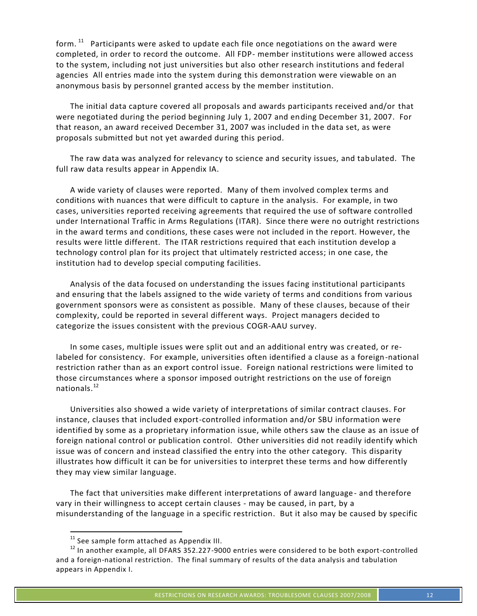form.  $11$  Participants were asked to update each file once negotiations on the award were completed, in order to record the outcome. All FDP- member institutions were allowed access to the system, including not just universities but also other research institutions and federal agencies All entries made into the system during this demonstration were viewable on an anonymous basis by personnel granted access by the member institution.

The initial data capture covered all proposals and awards participants received and/or that were negotiated during the period beginning July 1, 2007 and ending December 31, 2007. For that reason, an award received December 31, 2007 was included in the data set, as were proposals submitted but not yet awarded during this period.

The raw data was analyzed for relevancy to science and security issues, and tabulated. The full raw data results appear in Appendix IA.

A wide variety of clauses were reported. Many of them involved complex terms and conditions with nuances that were difficult to capture in the analysis. For example, in two cases, universities reported receiving agreements that required the use of software controlled under International Traffic in Arms Regulations (ITAR). Since there were no outright restrictions in the award terms and conditions, these cases were not included in the report. However, the results were little different. The ITAR restrictions required that each institution develop a technology control plan for its project that ultimately restricted access; in one case, the institution had to develop special computing facilities.

Analysis of the data focused on understanding the issues facing institutional participants and ensuring that the labels assigned to the wide variety of terms and conditions from various government sponsors were as consistent as possible. Many of these clauses, because of their complexity, could be reported in several different ways. Project managers decided to categorize the issues consistent with the previous COGR-AAU survey.

In some cases, multiple issues were split out and an additional entry was created, or relabeled for consistency. For example, universities often identified a clause as a foreign-national restriction rather than as an export control issue. Foreign national restrictions were limited to those circumstances where a sponsor imposed outright restrictions on the use of foreign nationals.<sup>12</sup>

Universities also showed a wide variety of interpretations of similar contract clauses. For instance, clauses that included export-controlled information and/or SBU information were identified by some as a proprietary information issue, while others saw the clause as an issue of foreign national control or publication control. Other universities did not readily identify which issue was of concern and instead classified the entry into the other category. This disparity illustrates how difficult it can be for universities to interpret these terms and how differently they may view similar language.

The fact that universities make different interpretations of award language- and therefore vary in their willingness to accept certain clauses - may be caused, in part, by a misunderstanding of the language in a specific restriction. But it also may be caused by specific

<sup>&</sup>lt;sup>11</sup> See sample form attached as Appendix III.<br><sup>12</sup> In another example, all DFARS 352.227-9000 entries were considered to be both export-controlled and a foreign-national restriction. The final summary of results of the data analysis and tabulation appears in Appendix I.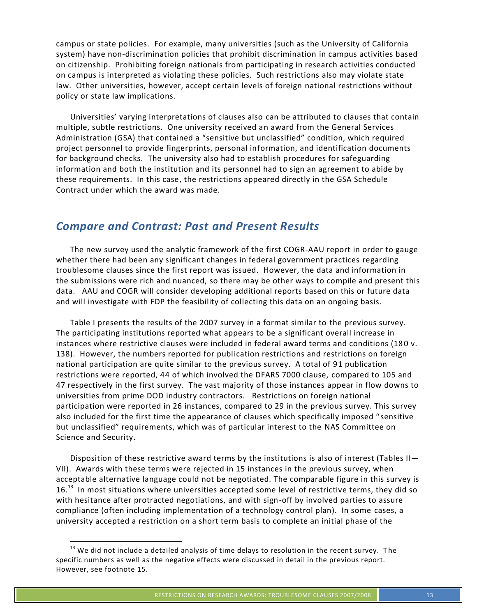campus or state policies. For example, many universities (such as the University of California system) have non-discrimination policies that prohibit discrimination in campus activities based on citizenship. Prohibiting foreign nationals from participating in research activities conducted on campus is interpreted as violating these policies. Such restrictions also may violate state law. Other universities, however, accept certain levels of foreign national restrictions without policy or state law implications.

Universities' varying interpretations of clauses also can be attributed to clauses that contain multiple, subtle restrictions. One university received an award from the General Services Administration (GSA) that contained a "sensitive but unclassified" condition, which required project personnel to provide fingerprints, personal information, and identification documents for background checks. The university also had to establish procedures for safeguarding information and both the institution and its personnel had to sign an agreement to abide by these requirements. In this case, the restrictions appeared directly in the GSA Schedule Contract under which the award was made.

## *Compare and Contrast: Past and Present Results*

The new survey used the analytic framework of the first COGR-AAU report in order to gauge whether there had been any significant changes in federal government practices regarding troublesome clauses since the first report was issued. However, the data and information in the submissions were rich and nuanced, so there may be other ways to compile and present this data. AAU and COGR will consider developing additional reports based on this or future data and will investigate with FDP the feasibility of collecting this data on an ongoing basis.

Table I presents the results of the 2007 survey in a format similar to the previous survey. The participating institutions reported what appears to be a significant overall increase in instances where restrictive clauses were included in federal award terms and conditions (18 0 v. 138). However, the numbers reported for publication restrictions and restrictions on foreign national participation are quite similar to the previous survey. A total of 91 publication restrictions were reported, 44 of which involved the DFARS 7000 clause, compared to 105 and 47 respectively in the first survey. The vast majority of those instances appear in flow downs to universities from prime DOD industry contractors. Restrictions on foreign national participation were reported in 26 instances, compared to 29 in the previous survey. This survey also included for the first time the appearance of clauses which specifically imposed " sensitive but unclassified" requirements, which was of particular interest to the NAS Committee on Science and Security.

Disposition of these restrictive award terms by the institutions is also of interest (Tables II— VII). Awards with these terms were rejected in 15 instances in the previous survey, when acceptable alternative language could not be negotiated. The comparable figure in this survey is 16. $^{13}$  In most situations where universities accepted some level of restrictive terms, they did so with hesitance after protracted negotiations, and with sign-off by involved parties to assure compliance (often including implementation of a technology control plan). In some cases, a university accepted a restriction on a short term basis to complete an initial phase of the

 $13$  We did not include a detailed analysis of time delays to resolution in the recent survey. The specific numbers as well as the negative effects were discussed in detail in the previous report. However, see footnote 15.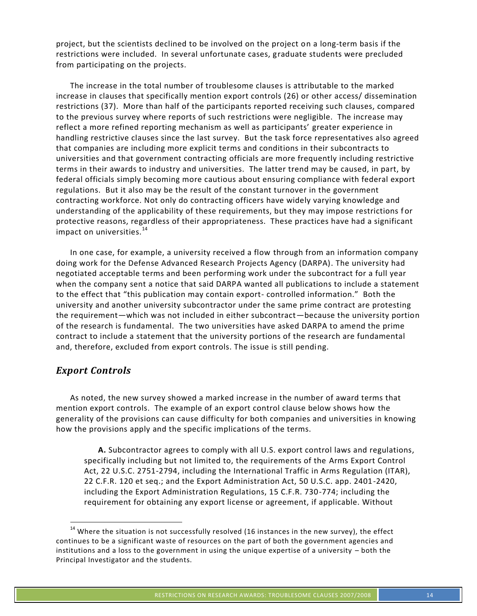project, but the scientists declined to be involved on the project on a long-term basis if the restrictions were included. In several unfortunate cases, graduate students were precluded from participating on the projects.

The increase in the total number of troublesome clauses is attributable to the marked increase in clauses that specifically mention export controls (26) or other access/ dissemination restrictions (37). More than half of the participants reported receiving such clauses, compared to the previous survey where reports of such restrictions were negligible. The increase may reflect a more refined reporting mechanism as well as participants' greater experience in handling restrictive clauses since the last survey. But the task force representatives also agreed that companies are including more explicit terms and conditions in their subcontracts to universities and that government contracting officials are more frequently including restrictive terms in their awards to industry and universities. The latter trend may be caused, in part, by federal officials simply becoming more cautious about ensuring compliance with federal export regulations. But it also may be the result of the constant turnover in the government contracting workforce. Not only do contracting officers have widely varying knowledge and understanding of the applicability of these requirements, but they may impose restrictions for protective reasons, regardless of their appropriateness. These practices have had a significant impact on universities.<sup>14</sup>

In one case, for example, a university received a flow through from an information company doing work for the Defense Advanced Research Projects Agency (DARPA). The university had negotiated acceptable terms and been performing work under the subcontract for a full year when the company sent a notice that said DARPA wanted all publications to include a statement to the effect that "this publication may contain export- controlled information." Both the university and another university subcontractor under the same prime contract are protesting the requirement—which was not included in either subcontract—because the university portion of the research is fundamental. The two universities have asked DARPA to amend the prime contract to include a statement that the university portions of the research are fundamental and, therefore, excluded from export controls. The issue is still pending.

#### *Export Controls*

As noted, the new survey showed a marked increase in the number of award terms that mention export controls. The example of an export control clause below shows how the generality of the provisions can cause difficulty for both companies and universities in knowing how the provisions apply and the specific implications of the terms.

**A.** Subcontractor agrees to comply with all U.S. export control laws and regulations, specifically including but not limited to, the requirements of the Arms Export Control Act, 22 U.S.C. 2751-2794, including the International Traffic in Arms Regulation (ITAR), 22 C.F.R. 120 et seq.; and the Export Administration Act, 50 U.S.C. app. 2401-2420, including the Export Administration Regulations, 15 C.F.R. 730-774; including the requirement for obtaining any export license or agreement, if applicable. Without

 $14$  Where the situation is not successfully resolved (16 instances in the new survey), the effect continues to be a significant waste of resources on the part of both the government agencies and institutions and a loss to the government in using the unique expertise of a university – both the Principal Investigator and the students.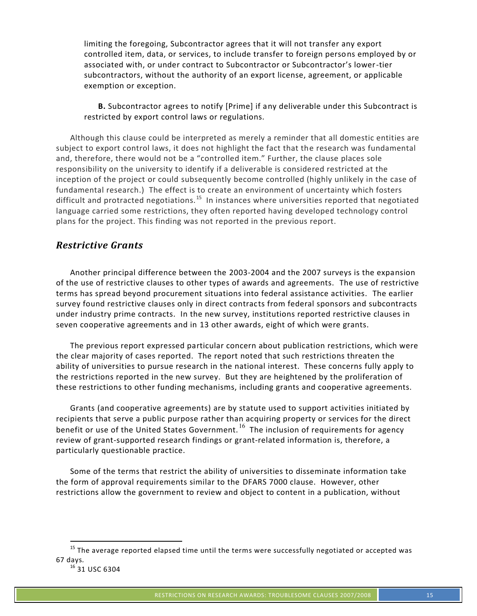limiting the foregoing, Subcontractor agrees that it will not transfer any export controlled item, data, or services, to include transfer to foreign persons employed by or associated with, or under contract to Subcontractor or Subcontractor's lower-tier subcontractors, without the authority of an export license, agreement, or applicable exemption or exception.

#### **B.** Subcontractor agrees to notify [Prime] if any deliverable under this Subcontract is restricted by export control laws or regulations.

Although this clause could be interpreted as merely a reminder that all domestic entities are subject to export control laws, it does not highlight the fact that the research was fundamental and, therefore, there would not be a "controlled item." Further, the clause places sole responsibility on the university to identify if a deliverable is considered restricted at the inception of the project or could subsequently become controlled (highly unlikely in the case of fundamental research.) The effect is to create an environment of uncertainty which fosters difficult and protracted negotiations.<sup>15</sup> In instances where universities reported that negotiated language carried some restrictions, they often reported having developed technology control plans for the project. This finding was not reported in the previous report.

## *Restrictive Grants*

Another principal difference between the 2003-2004 and the 2007 surveys is the expansion of the use of restrictive clauses to other types of awards and agreements. The use of restrictive terms has spread beyond procurement situations into federal assistance activities. The earlier survey found restrictive clauses only in direct contracts from federal sponsors and subcontracts under industry prime contracts. In the new survey, institutions reported restrictive clauses in seven cooperative agreements and in 13 other awards, eight of which were grants.

The previous report expressed particular concern about publication restrictions, which were the clear majority of cases reported. The report noted that such restrictions threaten the ability of universities to pursue research in the national interest. These concerns fully apply to the restrictions reported in the new survey. But they are heightened by the proliferation of these restrictions to other funding mechanisms, including grants and cooperative agreements.

Grants (and cooperative agreements) are by statute used to support activities initiated by recipients that serve a public purpose rather than acquiring property or services for the direct benefit or use of the United States Government.<sup>16</sup> The inclusion of requirements for agency review of grant-supported research findings or grant-related information is, therefore, a particularly questionable practice.

Some of the terms that restrict the ability of universities to disseminate information take the form of approval requirements similar to the DFARS 7000 clause. However, other restrictions allow the government to review and object to content in a publication, without

<sup>&</sup>lt;sup>15</sup> The average reported elapsed time until the terms were successfully negotiated or accepted was 67 days*.* <sup>16</sup> 31 USC 6304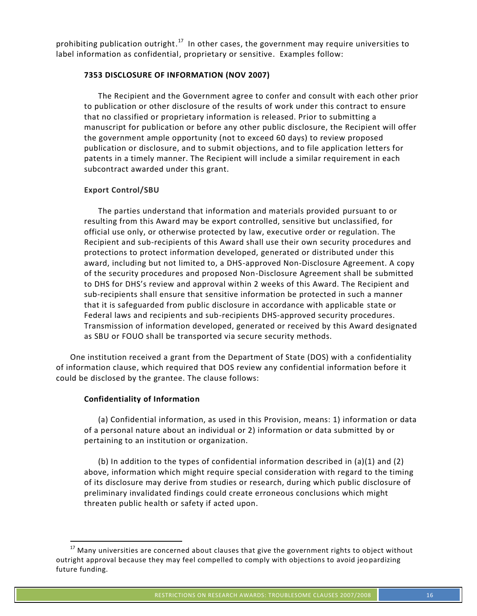prohibiting publication outright.<sup>17</sup> In other cases, the government may require universities to label information as confidential, proprietary or sensitive. Examples follow:

#### **7353 DISCLOSURE OF INFORMATION (NOV 2007)**

The Recipient and the Government agree to confer and consult with each other prior to publication or other disclosure of the results of work under this contract to ensure that no classified or proprietary information is released. Prior to submitting a manuscript for publication or before any other public disclosure, the Recipient will offer the government ample opportunity (not to exceed 60 days) to review proposed publication or disclosure, and to submit objections, and to file application letters for patents in a timely manner. The Recipient will include a similar requirement in each subcontract awarded under this grant.

#### **Export Control/SBU**

The parties understand that information and materials provided pursuant to or resulting from this Award may be export controlled, sensitive but unclassified, for official use only, or otherwise protected by law, executive order or regulation. The Recipient and sub-recipients of this Award shall use their own security procedures and protections to protect information developed, generated or distributed under this award, including but not limited to, a DHS-approved Non-Disclosure Agreement. A copy of the security procedures and proposed Non-Disclosure Agreement shall be submitted to DHS for DHS's review and approval within 2 weeks of this Award. The Recipient and sub-recipients shall ensure that sensitive information be protected in such a manner that it is safeguarded from public disclosure in accordance with applicable state or Federal laws and recipients and sub-recipients DHS-approved security procedures. Transmission of information developed, generated or received by this Award designated as SBU or FOUO shall be transported via secure security methods.

One institution received a grant from the Department of State (DOS) with a confidentiality of information clause, which required that DOS review any confidential information before it could be disclosed by the grantee. The clause follows:

#### **Confidentiality of Information**

(a) Confidential information, as used in this Provision, means: 1) information or data of a personal nature about an individual or 2) information or data submitted by or pertaining to an institution or organization.

(b) In addition to the types of confidential information described in  $(a)(1)$  and  $(2)$ above, information which might require special consideration with regard to the timing of its disclosure may derive from studies or research, during which public disclosure of preliminary invalidated findings could create erroneous conclusions which might threaten public health or safety if acted upon.

 $17$  Many universities are concerned about clauses that give the government rights to object without outright approval because they may feel compelled to comply with objections to avoid jeo pardizing future funding.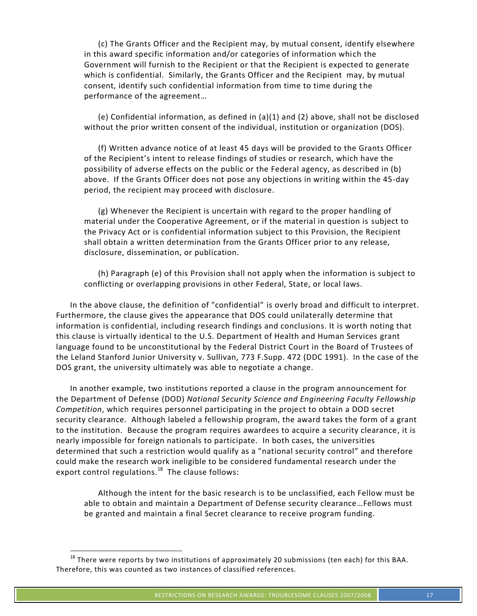(c) The Grants Officer and the Recipient may, by mutual consent, identify elsewhere in this award specific information and/or categories of information which the Government will furnish to the Recipient or that the Recipient is expected to generate which is confidential. Similarly, the Grants Officer and the Recipient may, by mutual consent, identify such confidential information from time to time during the performance of the agreement…

(e) Confidential information, as defined in (a)(1) and (2) above, shall not be disclosed without the prior written consent of the individual, institution or organization (DOS).

(f) Written advance notice of at least 45 days will be provided to the Grants Officer of the Recipient's intent to release findings of studies or research, which have the possibility of adverse effects on the public or the Federal agency, as described in (b) above. If the Grants Officer does not pose any objections in writing within the 45-day period, the recipient may proceed with disclosure.

(g) Whenever the Recipient is uncertain with regard to the proper handling of material under the Cooperative Agreement, or if the material in question is subject to the Privacy Act or is confidential information subject to this Provision, the Recipient shall obtain a written determination from the Grants Officer prior to any release, disclosure, dissemination, or publication.

(h) Paragraph (e) of this Provision shall not apply when the information is subject to conflicting or overlapping provisions in other Federal, State, or local laws.

In the above clause, the definition of "confidential" is overly broad and difficult to interpret. Furthermore, the clause gives the appearance that DOS could unilaterally determine that information is confidential, including research findings and conclusions. It is worth noting that this clause is virtually identical to the U.S. Department of Health and Human Services grant language found to be unconstitutional by the Federal District Court in the Board of Trustees of the Leland Stanford Junior University v. Sullivan, 773 F.Supp. 472 (DDC 1991). In the case of the DOS grant, the university ultimately was able to negotiate a change.

In another example, two institutions reported a clause in the program announcement for the Department of Defense (DOD) *National Security Science and Engineering Faculty Fellowship Competition*, which requires personnel participating in the project to obtain a DOD secret security clearance. Although labeled a fellowship program, the award takes the form of a grant to the institution. Because the program requires awardees to acquire a security clearance, it is nearly impossible for foreign nationals to participate. In both cases, the universities determined that such a restriction would qualify as a "national security control" and therefore could make the research work ineligible to be considered fundamental research under the export control regulations.<sup>18</sup> The clause follows:

Although the intent for the basic research is to be unclassified, each Fellow must be able to obtain and maintain a Department of Defense security clearance…Fellows must be granted and maintain a final Secret clearance to receive program funding.

 $18$  There were reports by two institutions of approximately 20 submissions (ten each) for this BAA. Therefore, this was counted as two instances of classified references.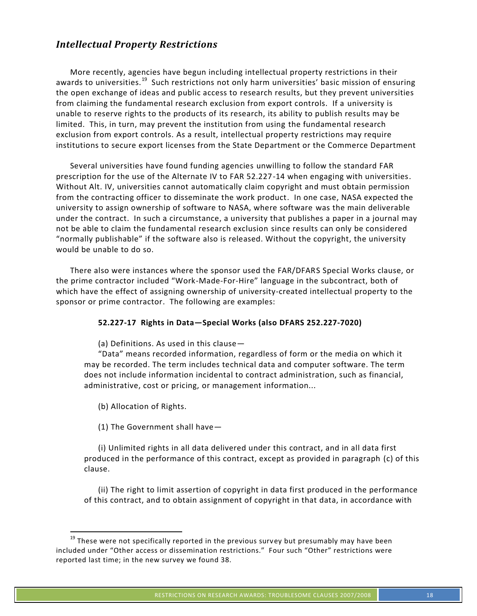## *Intellectual Property Restrictions*

More recently, agencies have begun including intellectual property restrictions in their awards to universities.<sup>19</sup> Such restrictions not only harm universities' basic mission of ensuring the open exchange of ideas and public access to research results, but they prevent universities from claiming the fundamental research exclusion from export controls. If a university is unable to reserve rights to the products of its research, its ability to publish results may be limited. This, in turn, may prevent the institution from using the fundamental research exclusion from export controls. As a result, intellectual property restrictions may require institutions to secure export licenses from the State Department or the Commerce Department

Several universities have found funding agencies unwilling to follow the standard FAR prescription for the use of the Alternate IV to FAR 52.227-14 when engaging with universities. Without Alt. IV, universities cannot automatically claim copyright and must obtain permission from the contracting officer to disseminate the work product. In one case, NASA expected the university to assign ownership of software to NASA, where software was the main deliverable under the contract. In such a circumstance, a university that publishes a paper in a journal may not be able to claim the fundamental research exclusion since results can only be considered "normally publishable" if the software also is released. Without the copyright, the university would be unable to do so.

There also were instances where the sponsor used the FAR/DFARS Special Works clause, or the prime contractor included "Work-Made-For-Hire" language in the subcontract, both of which have the effect of assigning ownership of university-created intellectual property to the sponsor or prime contractor. The following are examples:

#### **52.227-17 Rights in Data—Special Works (also DFARS 252.227-7020)**

(a) Definitions. As used in this clause—

"Data" means recorded information, regardless of form or the media on which it may be recorded. The term includes technical data and computer software. The term does not include information incidental to contract administration, such as financial, administrative, cost or pricing, or management information...

(b) Allocation of Rights.

(1) The Government shall have—

(i) Unlimited rights in all data delivered under this contract, and in all data first produced in the performance of this contract, except as provided in paragraph (c) of this clause.

(ii) The right to limit assertion of copyright in data first produced in the performance of this contract, and to obtain assignment of copyright in that data, in accordance with

<sup>&</sup>lt;sup>19</sup> These were not specifically reported in the previous survey but presumably may have been included under "Other access or dissemination restrictions." Four such "Other" restrictions were reported last time; in the new survey we found 38.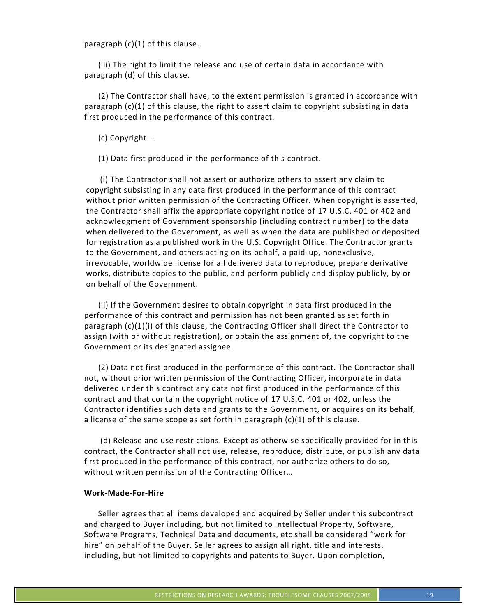paragraph (c)(1) of this clause.

(iii) The right to limit the release and use of certain data in accordance with paragraph (d) of this clause.

(2) The Contractor shall have, to the extent permission is granted in accordance with paragraph (c)(1) of this clause, the right to assert claim to copyright subsisting in data first produced in the performance of this contract.

(c) Copyright—

(1) Data first produced in the performance of this contract.

(i) The Contractor shall not assert or authorize others to assert any claim to copyright subsisting in any data first produced in the performance of this contract without prior written permission of the Contracting Officer. When copyright is asserted, the Contractor shall affix the appropriate copyright notice of 17 U.S.C. 401 or 402 and acknowledgment of Government sponsorship (including contract number) to the data when delivered to the Government, as well as when the data are published or deposited for registration as a published work in the U.S. Copyright Office. The Contr actor grants to the Government, and others acting on its behalf, a paid-up, nonexclusive, irrevocable, worldwide license for all delivered data to reproduce, prepare derivative works, distribute copies to the public, and perform publicly and display public ly, by or on behalf of the Government.

(ii) If the Government desires to obtain copyright in data first produced in the performance of this contract and permission has not been granted as set forth in paragraph (c)(1)(i) of this clause, the Contracting Officer shall direct the Contractor to assign (with or without registration), or obtain the assignment of, the copyright to the Government or its designated assignee.

(2) Data not first produced in the performance of this contract. The Contractor shall not, without prior written permission of the Contracting Officer, incorporate in data delivered under this contract any data not first produced in the performance of this contract and that contain the copyright notice of 17 U.S.C. 401 or 402, unless the Contractor identifies such data and grants to the Government, or acquires on its behalf, a license of the same scope as set forth in paragraph (c)(1) of this clause.

(d) Release and use restrictions. Except as otherwise specifically provided for in this contract, the Contractor shall not use, release, reproduce, distribute, or publish any data first produced in the performance of this contract, nor authorize others to do so, without written permission of the Contracting Officer…

#### **Work-Made-For-Hire**

Seller agrees that all items developed and acquired by Seller under this subcontract and charged to Buyer including, but not limited to Intellectual Property, Software, Software Programs, Technical Data and documents, etc shall be considered "work for hire" on behalf of the Buyer. Seller agrees to assign all right, title and interests, including, but not limited to copyrights and patents to Buyer. Upon completion,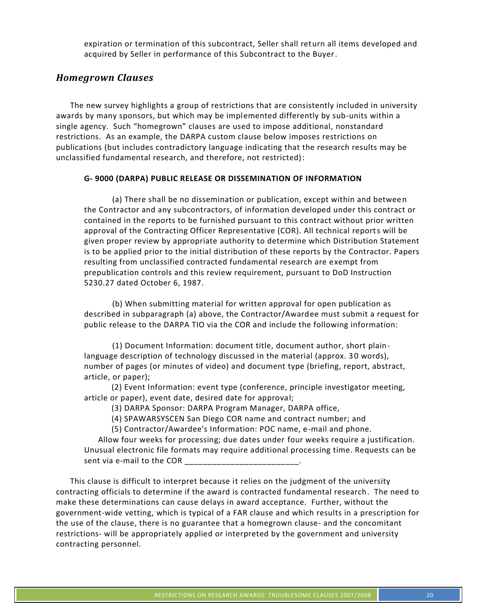expiration or termination of this subcontract, Seller shall return all items developed and acquired by Seller in performance of this Subcontract to the Buyer.

#### *Homegrown Clauses*

The new survey highlights a group of restrictions that are consistently included in university awards by many sponsors, but which may be implemented differently by sub-units within a single agency. Such "homegrown" clauses are used to impose additional, nonstandard restrictions. As an example, the DARPA custom clause below imposes restrictions on publications (but includes contradictory language indicating that the research results may be unclassified fundamental research, and therefore, not restricted):

#### **G- 9000 (DARPA) PUBLIC RELEASE OR DISSEMINATION OF INFORMATION**

(a) There shall be no dissemination or publication, except within and between the Contractor and any subcontractors, of information developed under this contract or contained in the reports to be furnished pursuant to this contract without prior written approval of the Contracting Officer Representative (COR). All technical reports will be given proper review by appropriate authority to determine which Distribution Statement is to be applied prior to the initial distribution of these reports by the Contractor. Papers resulting from unclassified contracted fundamental research are exempt from prepublication controls and this review requirement, pursuant to DoD Instruction 5230.27 dated October 6, 1987.

(b) When submitting material for written approval for open publication as described in subparagraph (a) above, the Contractor/Awardee must submit a request for public release to the DARPA TIO via the COR and include the following information:

(1) Document Information: document title, document author, short plainlanguage description of technology discussed in the material (approx. 30 words), number of pages (or minutes of video) and document type (briefing, report, abstract, article, or paper);

 (2) Event Information: event type (conference, principle investigator meeting, article or paper), event date, desired date for approval;

(3) DARPA Sponsor: DARPA Program Manager, DARPA office,

(4) SPAWARSYSCEN San Diego COR name and contract number; and

(5) Contractor/Awardee's Information: POC name, e-mail and phone.

Allow four weeks for processing; due dates under four weeks require a justification. Unusual electronic file formats may require additional processing time. Requests can be sent via e-mail to the COR \_\_\_\_\_\_\_\_\_\_\_\_\_\_\_\_\_\_\_\_\_\_\_\_\_.

This clause is difficult to interpret because it relies on the judgment of the university contracting officials to determine if the award is contracted fundamental research. The need to make these determinations can cause delays in award acceptance. Further, without the government-wide vetting, which is typical of a FAR clause and which results in a prescription for the use of the clause, there is no guarantee that a homegrown clause- and the concomitant restrictions- will be appropriately applied or interpreted by the government and university contracting personnel.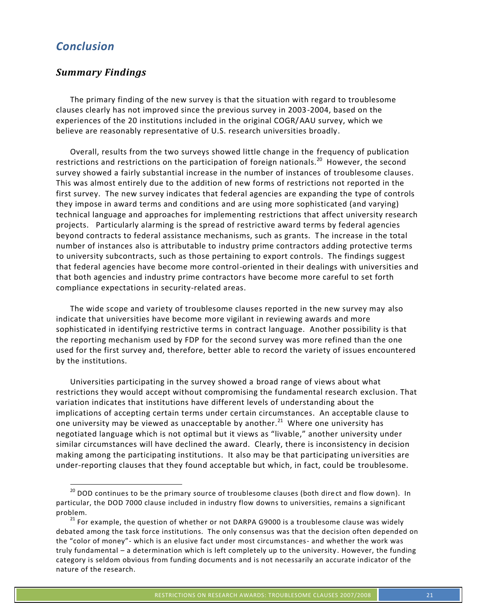## *Conclusion*

## *Summary Findings*

The primary finding of the new survey is that the situation with regard to troublesome clauses clearly has not improved since the previous survey in 2003-2004, based on the experiences of the 20 institutions included in the original COGR/AAU survey, which we believe are reasonably representative of U.S. research universities broadly.

Overall, results from the two surveys showed little change in the frequency of publication restrictions and restrictions on the participation of foreign nationals.<sup>20</sup> However, the second survey showed a fairly substantial increase in the number of instances of troublesome clauses. This was almost entirely due to the addition of new forms of restrictions not reported in the first survey. The new survey indicates that federal agencies are expanding the type of controls they impose in award terms and conditions and are using more sophisticated (and varying) technical language and approaches for implementing restrictions that affect university research projects. Particularly alarming is the spread of restrictive award terms by federal agencies beyond contracts to federal assistance mechanisms, such as grants. The increase in the total number of instances also is attributable to industry prime contractors adding protective terms to university subcontracts, such as those pertaining to export controls. The findings suggest that federal agencies have become more control-oriented in their dealings with universities and that both agencies and industry prime contractors have become more careful to set forth compliance expectations in security-related areas.

The wide scope and variety of troublesome clauses reported in the new survey may also indicate that universities have become more vigilant in reviewing awards and more sophisticated in identifying restrictive terms in contract language. Another possibility is that the reporting mechanism used by FDP for the second survey was more refined than the one used for the first survey and, therefore, better able to record the variety of issues encountered by the institutions.

Universities participating in the survey showed a broad range of views about what restrictions they would accept without compromising the fundamental research exclusion. That variation indicates that institutions have different levels of understanding about the implications of accepting certain terms under certain circumstances. An acceptable clause to one university may be viewed as unacceptable by another.<sup>21</sup> Where one university has negotiated language which is not optimal but it views as "livable," another university under similar circumstances will have declined the award. Clearly, there is inconsistency in decision making among the participating institutions. It also may be that participating universities are under-reporting clauses that they found acceptable but which, in fact, could be troublesome.

<sup>&</sup>lt;sup>20</sup> DOD continues to be the primary source of troublesome clauses (both direct and flow down). In particular, the DOD 7000 clause included in industry flow downs to universities, remains a significant problem.<br><sup>21</sup> For example, the question of whether or not DARPA G9000 is a troublesome clause was widely

debated among the task force institutions. The only consensus was that the decision often depended on the "color of money"- which is an elusive fact under most circumstances- and whether the work was truly fundamental – a determination which is left completely up to the university . However, the funding category is seldom obvious from funding documents and is not necessarily an accurate indicator of the nature of the research.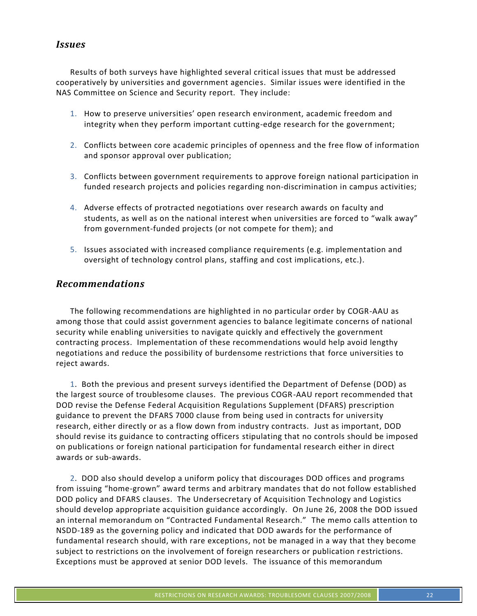#### *Issues*

Results of both surveys have highlighted several critical issues that must be addressed cooperatively by universities and government agencies. Similar issues were identified in the NAS Committee on Science and Security report. They include:

- 1. How to preserve universities' open research environment, academic freedom and integrity when they perform important cutting-edge research for the government;
- 2. Conflicts between core academic principles of openness and the free flow of information and sponsor approval over publication;
- 3. Conflicts between government requirements to approve foreign national participation in funded research projects and policies regarding non-discrimination in campus activities;
- 4. Adverse effects of protracted negotiations over research awards on faculty and students, as well as on the national interest when universities are forced to "walk away" from government-funded projects (or not compete for them); and
- 5. Issues associated with increased compliance requirements (e.g. implementation and oversight of technology control plans, staffing and cost implications, etc.).

#### *Recommendations*

The following recommendations are highlighted in no particular order by COGR-AAU as among those that could assist government agencies to balance legitimate concerns of national security while enabling universities to navigate quickly and effectively the government contracting process. Implementation of these recommendations would help avoid lengthy negotiations and reduce the possibility of burdensome restrictions that force universities to reject awards.

1. Both the previous and present surveys identified the Department of Defense (DOD) as the largest source of troublesome clauses. The previous COGR-AAU report recommended that DOD revise the Defense Federal Acquisition Regulations Supplement (DFARS) prescription guidance to prevent the DFARS 7000 clause from being used in contracts for university research, either directly or as a flow down from industry contracts. Just as important, DOD should revise its guidance to contracting officers stipulating that no controls should be imposed on publications or foreign national participation for fundamental research either in direct awards or sub-awards.

2. DOD also should develop a uniform policy that discourages DOD offices and programs from issuing "home-grown" award terms and arbitrary mandates that do not follow established DOD policy and DFARS clauses. The Undersecretary of Acquisition Technology and Logistics should develop appropriate acquisition guidance accordingly. On June 26, 2008 the DOD issued an internal memorandum on "Contracted Fundamental Research." The memo calls attention to NSDD-189 as the governing policy and indicated that DOD awards for the performance of fundamental research should, with rare exceptions, not be managed in a way that they become subject to restrictions on the involvement of foreign researchers or publication restrictions. Exceptions must be approved at senior DOD levels. The issuance of this memorandum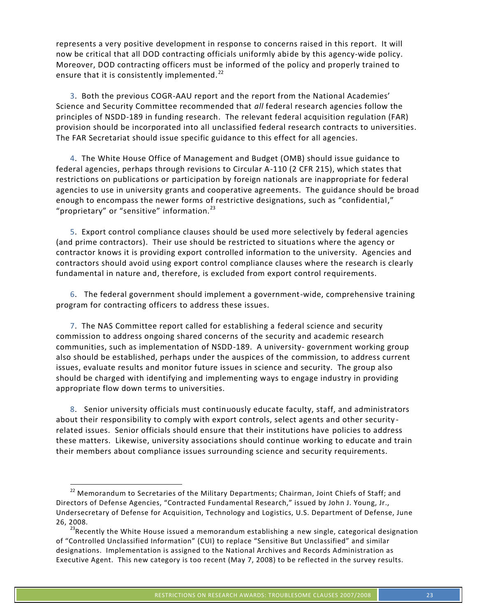represents a very positive development in response to concerns raised in this report. It will now be critical that all DOD contracting officials uniformly abide by this agency-wide policy. Moreover, DOD contracting officers must be informed of the policy and properly trained to ensure that it is consistently implemented. $^{22}$ 

3. Both the previous COGR-AAU report and the report from the National Academies' Science and Security Committee recommended that *all* federal research agencies follow the principles of NSDD-189 in funding research. The relevant federal acquisition regulation (FAR) provision should be incorporated into all unclassified federal research contracts to universities. The FAR Secretariat should issue specific guidance to this effect for all agencies.

4. The White House Office of Management and Budget (OMB) should issue guidance to federal agencies, perhaps through revisions to Circular A-110 (2 CFR 215), which states that restrictions on publications or participation by foreign nationals are inappropriate for federal agencies to use in university grants and cooperative agreements. The guidance should be broad enough to encompass the newer forms of restrictive designations, such as "confidential," "proprietary" or "sensitive" information. $^{23}$ 

5. Export control compliance clauses should be used more selectively by federal agencies (and prime contractors). Their use should be restricted to situations where the agency or contractor knows it is providing export controlled information to the university. Agencies and contractors should avoid using export control compliance clauses where the research is clearly fundamental in nature and, therefore, is excluded from export control requirements.

6. The federal government should implement a government-wide, comprehensive training program for contracting officers to address these issues.

7. The NAS Committee report called for establishing a federal science and security commission to address ongoing shared concerns of the security and academic research communities, such as implementation of NSDD-189. A university- government working group also should be established, perhaps under the auspices of the commission, to address current issues, evaluate results and monitor future issues in science and security. The group also should be charged with identifying and implementing ways to engage industry in providing appropriate flow down terms to universities.

8. Senior university officials must continuously educate faculty, staff, and administrators about their responsibility to comply with export controls, select agents and other security related issues. Senior officials should ensure that their institutions have policies to address these matters. Likewise, university associations should continue working to educate and train their members about compliance issues surrounding science and security requirements.

<sup>&</sup>lt;sup>22</sup> Memorandum to Secretaries of the Military Departments; Chairman, Joint Chiefs of Staff; and Directors of Defense Agencies, "Contracted Fundamental Research," issued by John J. Young, Jr., Undersecretary of Defense for Acquisition, Technology and Logistics, U.S. Department of Defense, June 26, 2008.<br><sup>23</sup>Recently the White House issued a memorandum establishing a new single, categorical designation

of "Controlled Unclassified Information" (CUI) to replace "Sensitive But Unclassified" and similar designations. Implementation is assigned to the National Archives and Records Administration as Executive Agent. This new category is too recent (May 7, 2008) to be reflected in the survey results.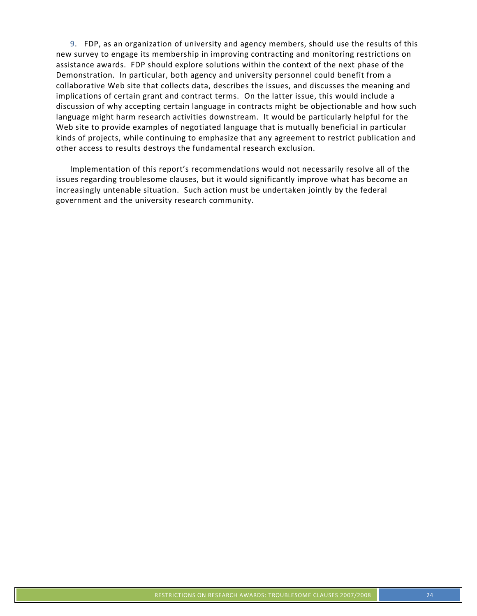9. FDP, as an organization of university and agency members, should use the results of this new survey to engage its membership in improving contracting and monitoring restrictions on assistance awards. FDP should explore solutions within the context of the next phase of the Demonstration. In particular, both agency and university personnel could benefit from a collaborative Web site that collects data, describes the issues, and discusses the meaning and implications of certain grant and contract terms. On the latter issue, this would include a discussion of why accepting certain language in contracts might be objectionable and how such language might harm research activities downstream. It would be particularly helpful for the Web site to provide examples of negotiated language that is mutually beneficial in particular kinds of projects, while continuing to emphasize that any agreement to restrict publication and other access to results destroys the fundamental research exclusion.

Implementation of this report's recommendations would not necessarily resolve all of the issues regarding troublesome clauses, but it would significantly improve what has become an increasingly untenable situation. Such action must be undertaken jointly by the federal government and the university research community.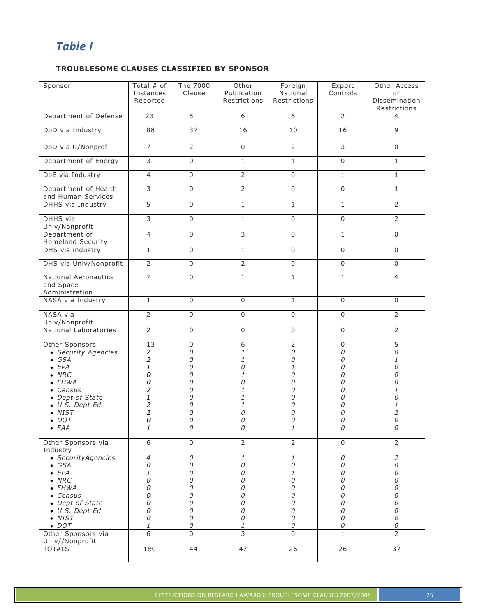## *Table I*

#### **TROUBLESOME CLAUSES CLASSIFIED BY SPONSOR**

| Sponsor                                                                                                                                                                                                      | Total $#$ of<br>Instances<br>Reported                                                                   | The 7000<br>Clause                                                      | Other<br>Publication<br>Restrictions                                       | Foreign<br>National<br>Restrictions                                                | Export<br>Controls                                             | Other Access<br>or<br><b>Dissemination</b><br>Restrictions                              |
|--------------------------------------------------------------------------------------------------------------------------------------------------------------------------------------------------------------|---------------------------------------------------------------------------------------------------------|-------------------------------------------------------------------------|----------------------------------------------------------------------------|------------------------------------------------------------------------------------|----------------------------------------------------------------|-----------------------------------------------------------------------------------------|
| Department of Defense                                                                                                                                                                                        | 23                                                                                                      | $\overline{5}$                                                          | 6                                                                          | 6                                                                                  | $\overline{2}$                                                 | 4                                                                                       |
| DoD via Industry                                                                                                                                                                                             | 88                                                                                                      | 37                                                                      | 16                                                                         | 10                                                                                 | 16                                                             | $\overline{9}$                                                                          |
| DoD via U/Nonprof                                                                                                                                                                                            | $\overline{7}$                                                                                          | $\overline{2}$                                                          | $\Omega$                                                                   | $\overline{2}$                                                                     | $\overline{3}$                                                 | $\Omega$                                                                                |
| Department of Energy                                                                                                                                                                                         | 3                                                                                                       | $\Omega$                                                                | $\mathbf{1}$                                                               | $\mathbf{1}$                                                                       | $\Omega$                                                       | $\mathbf{1}$                                                                            |
| DoE via Industry                                                                                                                                                                                             | $\overline{4}$                                                                                          | $\mathsf 0$                                                             | $\overline{2}$                                                             | $\mathsf 0$                                                                        | $\mathbf{1}$                                                   | $\mathbf{1}$                                                                            |
| Department of Health<br>and Human Services                                                                                                                                                                   | 3                                                                                                       | $\mathsf 0$                                                             | $\overline{2}$                                                             | $\mathsf{O}$                                                                       | $\mathbf 0$                                                    | $\mathbf{1}$                                                                            |
| DHHS via Industry                                                                                                                                                                                            | $\overline{5}$                                                                                          | $\Omega$                                                                | $\mathbf{1}$                                                               | $\mathbf{1}$                                                                       | $\mathbf{1}$                                                   | $\overline{2}$                                                                          |
| DHHS via<br>Univ/Nonprofit                                                                                                                                                                                   | $\overline{3}$                                                                                          | $\Omega$                                                                | $\mathbf{1}$                                                               | $\Omega$                                                                           | $\Omega$                                                       | $\overline{2}$                                                                          |
| Department of<br><b>Homeland Security</b>                                                                                                                                                                    | $\overline{4}$                                                                                          | $\mathbf 0$                                                             | 3                                                                          | $\mathbf 0$                                                                        | $\mathbf{1}$                                                   | $\mathbf 0$                                                                             |
| DHS via industry                                                                                                                                                                                             | $1\,$                                                                                                   | $\Omega$                                                                | $\mathbf{1}$                                                               | $\mathsf{O}$                                                                       | $\Omega$                                                       | $\Omega$                                                                                |
| DHS via Univ/Nonprofit                                                                                                                                                                                       | $\overline{2}$                                                                                          | $\mathbf 0$                                                             | $\overline{2}$                                                             | $\mathbf 0$                                                                        | $\mathbf 0$                                                    | $\mathbf 0$                                                                             |
| <b>National Aeronautics</b><br>and Space<br>Administration                                                                                                                                                   | $\overline{7}$                                                                                          | $\mathsf 0$                                                             | $\mathbf{1}$                                                               | $\overline{1}$                                                                     | $\mathbf{1}$                                                   | $\overline{4}$                                                                          |
| NASA via Industry                                                                                                                                                                                            | $\mathbf{1}$                                                                                            | 0                                                                       | $\mathbf{0}$                                                               | $\mathbf{1}$                                                                       | $\Omega$                                                       | $\mathbf 0$                                                                             |
| NASA via<br>Univ/Nonprofit                                                                                                                                                                                   | $\overline{2}$                                                                                          | $\mathbf 0$                                                             | $\mathbf 0$                                                                | $\mathbf 0$                                                                        | $\mathbf 0$                                                    | $\overline{2}$                                                                          |
| National Laboratories                                                                                                                                                                                        | $\overline{2}$                                                                                          | $\mathsf 0$                                                             | $\mathbf 0$                                                                | $\mathsf 0$                                                                        | $\mathbf 0$                                                    | $\overline{2}$                                                                          |
| Other Sponsors<br>• Security Agencies<br>$\bullet$ GSA<br>EPA<br>NRC<br>$\bullet$ FHWA<br>• Census<br>• Dept of State<br>U.S. Dept Ed<br><b>NIST</b><br>$\bullet$ DOT<br>$\bullet$ FAA<br>Other Sponsors via | 13<br>$\overline{a}$<br>$\boldsymbol{2}$<br>1<br>0<br>0<br>2<br>1<br>2<br>$\overline{a}$<br>0<br>1<br>6 | $\mathbf 0$<br>0<br>0<br>0<br>0<br>0<br>0<br>0<br>0<br>0<br>0<br>0<br>0 | 6<br>1<br>1<br>0<br>1<br>0<br>1<br>1<br>1<br>0<br>0<br>0<br>$\overline{2}$ | $\overline{2}$<br>0<br>0<br>1<br>0<br>0<br>0<br>0<br>0<br>0<br>0<br>$\overline{2}$ | 0<br>0<br>0<br>0<br>0<br>0<br>0<br>0<br>Ω<br>N<br>0<br>0<br>0  | 5<br>0<br>1<br>0<br>0<br>0<br>1<br>0<br>1<br>$\overline{c}$<br>0<br>0<br>$\overline{2}$ |
| Industry                                                                                                                                                                                                     |                                                                                                         |                                                                         |                                                                            |                                                                                    |                                                                |                                                                                         |
| • Security Agencies<br>$\bullet$ GSA<br>EPA<br>$\bullet$ NRC<br>$\bullet$ FHWA<br>• Census<br>• Dept of State<br>• U.S. Dept Ed<br>$\bullet$ NIST<br>$\bullet$ DOT<br>Other Sponsors via                     | 4<br>0<br>1<br>0<br>0<br>0<br>0<br>0<br>0<br>$\mathcal I$<br>6                                          | 0<br>0<br>0<br>0<br>0<br>0<br>0<br>0<br>0<br>0<br>$\Omega$              | 1<br>0<br>0<br>0<br>0<br>0<br>0<br>0<br>0<br>1<br>3                        | 1<br>0<br>1<br>0<br>0<br>0<br>0<br>0<br>0<br>0<br>$\Omega$                         | 0<br>0<br>0<br>0<br>0<br>0<br>0<br>0<br>0<br>0<br>$\mathbf{1}$ | $\overline{c}$<br>0<br>0<br>0<br>0<br>0<br>0<br>0<br>0<br>0<br>$\overline{2}$           |
| Univ//Nonprofit<br><b>TOTALS</b>                                                                                                                                                                             | 180                                                                                                     | 44                                                                      | 47                                                                         | 26                                                                                 | 26                                                             | 37                                                                                      |
|                                                                                                                                                                                                              |                                                                                                         |                                                                         |                                                                            |                                                                                    |                                                                |                                                                                         |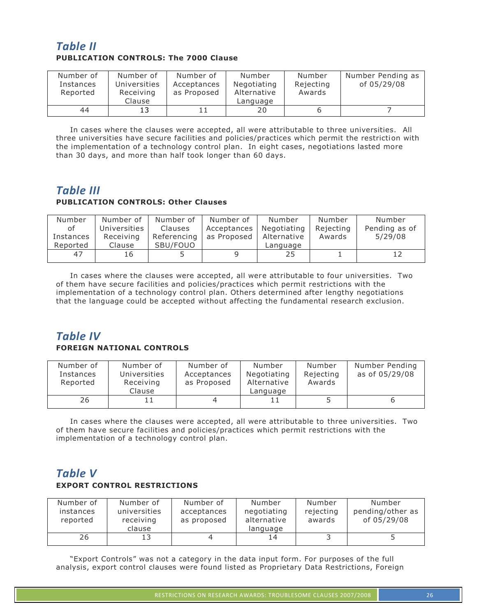## *Table II* **PUBLICATION CONTROLS: The 7000 Clause**

| Number of<br>Instances<br>Reported | Number of<br>Universities<br>Receiving<br>Clause | Number of<br>Acceptances<br>as Proposed | Number<br>Negotiating<br>Alternative<br>Language | Number<br>Rejecting<br>Awards | Number Pending as<br>of 05/29/08 |
|------------------------------------|--------------------------------------------------|-----------------------------------------|--------------------------------------------------|-------------------------------|----------------------------------|
| 44                                 | 13                                               |                                         | 20                                               |                               |                                  |

In cases where the clauses were accepted, all were attributable to three universities. All three universities have secure facilities and policies/practices which permit the restriction with the implementation of a technology control plan. In eight cases, negotiations lasted more than 30 days, and more than half took longer than 60 days.

## *Table III*

#### **PUBLICATION CONTROLS: Other Clauses**

| Number    | Number of    | Number of   | Number of   | Number      | Number    | Number        |
|-----------|--------------|-------------|-------------|-------------|-----------|---------------|
| οf        | Universities | Clauses     | Acceptances | Negotiating | Rejecting | Pending as of |
| Instances | Receiving    | Referencing | as Proposed | Alternative | Awards    | 5/29/08       |
| Reported  | Clause       | SBU/FOUO    |             | Language    |           |               |
| 47        | 16           |             |             | 25          |           |               |

In cases where the clauses were accepted, all were attributable to four universities. Two of them have secure facilities and policies/practices which permit restrictions with the implementation of a technology control plan. Others determined after lengthy negotiations that the language could be accepted without affecting the fundamental research exclusion.

## *Table IV*

#### **FOREIGN NATIONAL CONTROLS**

| Number of<br>Instances<br>Reported | Number of<br>Universities<br>Receiving<br>Clause | Number of<br>Acceptances<br>as Proposed | Number<br>Negotiating<br>Alternative<br>Language | Number<br>Rejecting<br>Awards | Number Pending<br>as of 05/29/08 |
|------------------------------------|--------------------------------------------------|-----------------------------------------|--------------------------------------------------|-------------------------------|----------------------------------|
| 26                                 |                                                  |                                         |                                                  |                               |                                  |

In cases where the clauses were accepted, all were attributable to three universities. Two of them have secure facilities and policies/practices which permit restrictions with the implementation of a technology control plan.

## *Table V* **EXPORT CONTROL RESTRICTIONS**

| Number of<br>instances<br>reported | Number of<br>universities<br>receiving<br>clause | Number of<br>acceptances<br>as proposed | Number<br>negotiating<br>alternative<br>language | Number<br>rejecting<br>awards | Number<br>pending/other as<br>of 05/29/08 |
|------------------------------------|--------------------------------------------------|-----------------------------------------|--------------------------------------------------|-------------------------------|-------------------------------------------|
| 26                                 |                                                  |                                         | 14                                               |                               |                                           |

"Export Controls" was not a category in the data input form. For purposes of the full analysis, export control clauses were found listed as Proprietary Data Restrictions, Foreign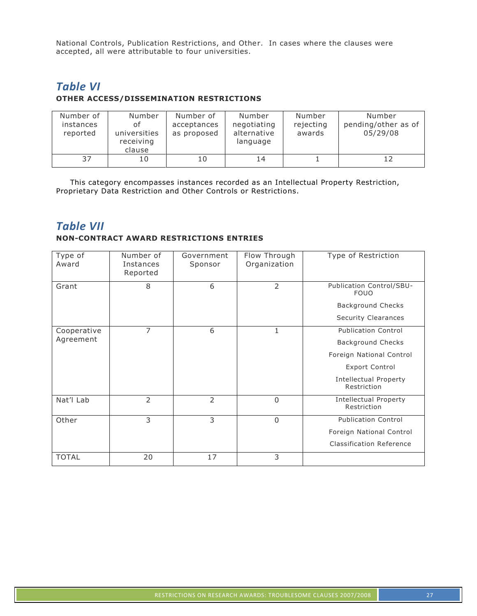National Controls, Publication Restrictions, and Other. In cases where the clauses were accepted, all were attributable to four universities.

## *Table VI* **OTHER ACCESS/DISSEMINATION RESTRICTIONS**

| Number of<br>instances<br>reported | Number<br>οf<br>universities<br>receiving<br>clause | Number of<br>acceptances<br>as proposed | Number<br>negotiating<br>alternative<br>language | Number<br>rejecting<br>awards | Number<br>pending/other as of<br>05/29/08 |
|------------------------------------|-----------------------------------------------------|-----------------------------------------|--------------------------------------------------|-------------------------------|-------------------------------------------|
| 37                                 | 10                                                  | 10                                      | 14                                               |                               |                                           |

This category encompasses instances recorded as an Intellectual Property Restriction, Proprietary Data Restriction and Other Controls or Restrictions.

## *Table VII*

#### **NON-CONTRACT AWARD RESTRICTIONS ENTRIES**

| Type of<br>Award | Number of<br>Instances<br>Reported | Government<br>Sponsor | Flow Through<br>Organization | Type of Restriction                         |
|------------------|------------------------------------|-----------------------|------------------------------|---------------------------------------------|
| Grant            | 8                                  | 6                     | $\overline{2}$               | Publication Control/SBU-<br><b>FOUO</b>     |
|                  |                                    |                       |                              | <b>Background Checks</b>                    |
|                  |                                    |                       |                              | Security Clearances                         |
| Cooperative      | 7                                  | 6                     | 1                            | <b>Publication Control</b>                  |
| Agreement        |                                    |                       |                              | <b>Background Checks</b>                    |
|                  |                                    |                       |                              | Foreign National Control                    |
|                  |                                    |                       |                              | <b>Export Control</b>                       |
|                  |                                    |                       |                              | <b>Intellectual Property</b><br>Restriction |
| Nat'l Lab        | $\overline{2}$                     | 2                     | $\Omega$                     | <b>Intellectual Property</b><br>Restriction |
| Other            | 3                                  | 3                     | $\Omega$                     | <b>Publication Control</b>                  |
|                  |                                    |                       |                              | Foreign National Control                    |
|                  |                                    |                       |                              | <b>Classification Reference</b>             |
| <b>TOTAL</b>     | 20                                 | 17                    | 3                            |                                             |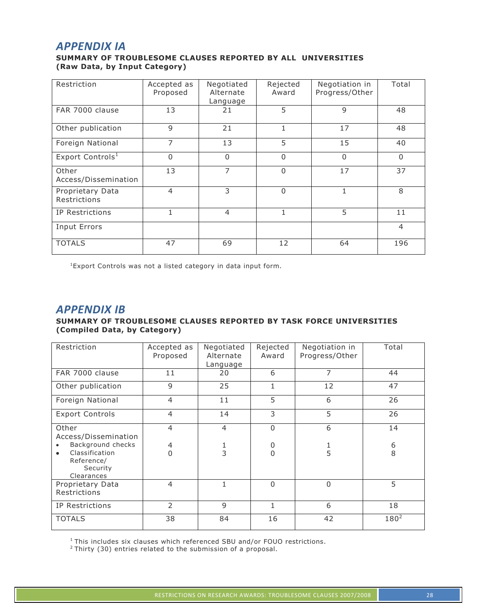## *APPENDIX IA*

#### **SUMMARY OF TROUBLESOME CLAUSES REPORTED BY ALL UNIVERSITIES (Raw Data, by Input Category)**

| Restriction                      | Accepted as<br>Proposed | Negotiated<br>Alternate<br>Language | Rejected<br>Award | Negotiation in<br>Progress/Other | Total          |
|----------------------------------|-------------------------|-------------------------------------|-------------------|----------------------------------|----------------|
| FAR 7000 clause                  | 13                      | 21                                  | 5                 | 9                                | 48             |
| Other publication                | 9                       | 21                                  | 1                 | 17                               | 48             |
| Foreign National                 | 7                       | 13                                  | 5                 | 15                               | 40             |
| Export Controls <sup>1</sup>     | $\Omega$                | 0                                   | $\Omega$          | $\Omega$                         | $\mathbf{0}$   |
| Other<br>Access/Dissemination    | 13                      | 7                                   | $\Omega$          | 17                               | 37             |
| Proprietary Data<br>Restrictions | $\overline{4}$          | 3                                   | $\Omega$          | 1                                | 8              |
| IP Restrictions                  |                         | $\overline{4}$                      | 1                 | 5                                | 11             |
| Input Errors                     |                         |                                     |                   |                                  | $\overline{4}$ |
| <b>TOTALS</b>                    | 47                      | 69                                  | 12                | 64                               | 196            |

<sup>1</sup>Export Controls was not a listed category in data input form.

## *APPENDIX IB*

#### **SUMMARY OF TROUBLESOME CLAUSES REPORTED BY TASK FORCE UNIVERSITIES (Compiled Data, by Category)**

| Restriction                                                         | Accepted as<br>Proposed | Negotiated<br>Alternate<br>Language | Rejected<br>Award | Negotiation in<br>Progress/Other | Total     |
|---------------------------------------------------------------------|-------------------------|-------------------------------------|-------------------|----------------------------------|-----------|
| FAR 7000 clause                                                     | 11                      | 20                                  | 6                 | 7                                | 44        |
| Other publication                                                   | 9                       | 25                                  | 1                 | 12                               | 47        |
| Foreign National                                                    | $\overline{4}$          | 11                                  | 5                 | 6                                | 26        |
| <b>Export Controls</b>                                              | $\overline{4}$          | 14                                  | 3                 | 5                                | 26        |
| Other<br>Access/Dissemination                                       | $\overline{4}$          | $\overline{4}$                      | $\Omega$          | 6                                | 14        |
| Background checks                                                   | $\overline{4}$          |                                     | 0                 |                                  | 6         |
| Classification<br>$\bullet$<br>Reference/<br>Security<br>Clearances | $\Omega$                | 3                                   | $\overline{0}$    | 5                                | 8         |
| Proprietary Data<br>Restrictions                                    | $\overline{4}$          | $\mathbf{1}$                        | $\Omega$          | $\Omega$                         | 5         |
| IP Restrictions                                                     | $\overline{2}$          | 9                                   | 1                 | 6                                | 18        |
| <b>TOTALS</b>                                                       | 38                      | 84                                  | 16                | 42                               | $180^{2}$ |

<sup>1</sup> This includes six clauses which referenced SBU and/or FOUO restrictions.

 $2$  Thirty (30) entries related to the submission of a proposal.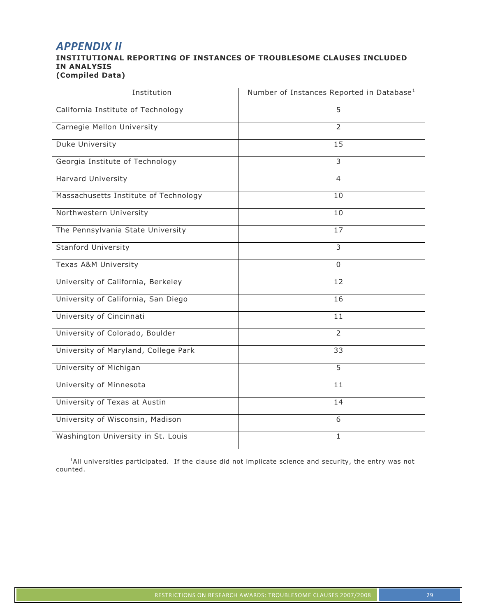## *APPENDIX II*

#### **INSTITUTIONAL REPORTING OF INSTANCES OF TROUBLESOME CLAUSES INCLUDED IN ANALYSIS (Compiled Data)**

| Institution                           | Number of Instances Reported in Database <sup>1</sup> |
|---------------------------------------|-------------------------------------------------------|
| California Institute of Technology    | 5                                                     |
| Carnegie Mellon University            | $\overline{2}$                                        |
| Duke University                       | 15                                                    |
| Georgia Institute of Technology       | $\overline{3}$                                        |
| Harvard University                    | 4                                                     |
| Massachusetts Institute of Technology | 10                                                    |
| Northwestern University               | 10                                                    |
| The Pennsylvania State University     | 17                                                    |
| Stanford University                   | 3                                                     |
| Texas A&M University                  | $\Omega$                                              |
| University of California, Berkeley    | 12                                                    |
| University of California, San Diego   | 16                                                    |
| University of Cincinnati              | 11                                                    |
| University of Colorado, Boulder       | $\overline{2}$                                        |
| University of Maryland, College Park  | 33                                                    |
| University of Michigan                | 5                                                     |
| University of Minnesota               | 11                                                    |
| University of Texas at Austin         | 14                                                    |
| University of Wisconsin, Madison      | 6                                                     |
| Washington University in St. Louis    | $\mathbf{1}$                                          |

<sup>1</sup>All universities participated. If the clause did not implicate science and security, the entry was not counted.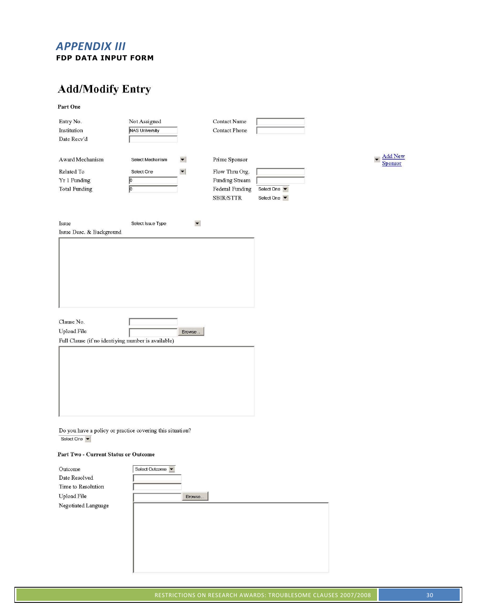## *APPENDIX III* **FDP DATA INPUT FORM**

# **Add/Modify Entry**

Part One

| Entry No.                                                 | Not Assigned          |                      | Contact Name         |            |  |
|-----------------------------------------------------------|-----------------------|----------------------|----------------------|------------|--|
| Institution                                               | <b>NAS University</b> |                      | <b>Contact Phone</b> |            |  |
| Date Recv'd                                               |                       |                      |                      |            |  |
|                                                           |                       |                      |                      |            |  |
| Award Mechanism                                           | Select Mechanism      | $\blacktriangledown$ | Prime Sponsor        |            |  |
| Related To                                                | Select One            | $\blacktriangledown$ | Flow Thru Org.       |            |  |
| Yr 1 Funding                                              | $\sqrt{2}$            |                      | Funding Stream       |            |  |
| <b>Total Funding</b>                                      | $\sqrt{2}$            |                      | Federal Funding      | Select One |  |
|                                                           |                       |                      | SBIR/STTR            | Select One |  |
|                                                           |                       |                      |                      |            |  |
| Issue                                                     | Select Issue Type     | $\blacktriangledown$ |                      |            |  |
| Issue Desc. & Background                                  |                       |                      |                      |            |  |
|                                                           |                       |                      |                      |            |  |
|                                                           |                       |                      |                      |            |  |
|                                                           |                       |                      |                      |            |  |
|                                                           |                       |                      |                      |            |  |
|                                                           |                       |                      |                      |            |  |
|                                                           |                       |                      |                      |            |  |
|                                                           |                       |                      |                      |            |  |
|                                                           |                       |                      |                      |            |  |
|                                                           |                       |                      |                      |            |  |
| Clause No.                                                |                       |                      |                      |            |  |
| Upload File                                               |                       |                      |                      |            |  |
|                                                           |                       | Browse               |                      |            |  |
| Full Clause (if no identiying number is available)        |                       |                      |                      |            |  |
|                                                           |                       |                      |                      |            |  |
|                                                           |                       |                      |                      |            |  |
|                                                           |                       |                      |                      |            |  |
|                                                           |                       |                      |                      |            |  |
|                                                           |                       |                      |                      |            |  |
|                                                           |                       |                      |                      |            |  |
|                                                           |                       |                      |                      |            |  |
|                                                           |                       |                      |                      |            |  |
|                                                           |                       |                      |                      |            |  |
| Do you have a policy or practice covering this situation? |                       |                      |                      |            |  |
| Select One                                                |                       |                      |                      |            |  |

#### Part Two - Current Status or Outcome

| Outcome             | Select Outcome |
|---------------------|----------------|
| Date Resolved       |                |
| Time to Resolution  |                |
| Upload File         | Browse         |
| Negotiated Language |                |
|                     |                |
|                     |                |
|                     |                |
|                     |                |
|                     |                |
|                     |                |
|                     |                |

 $\blacktriangleright$   $\frac{\text{Add New}}{\text{Sponsor}}$